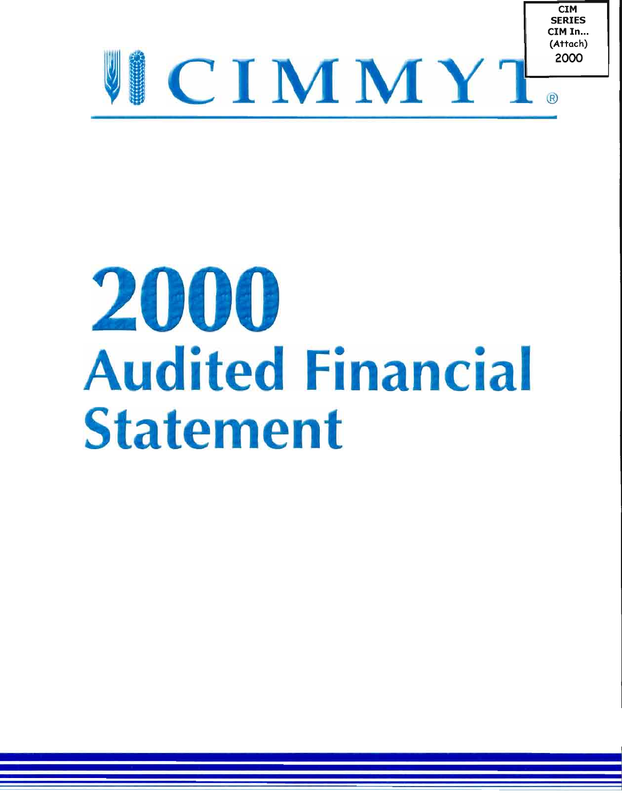

# 2000 **Audited Financial Statement**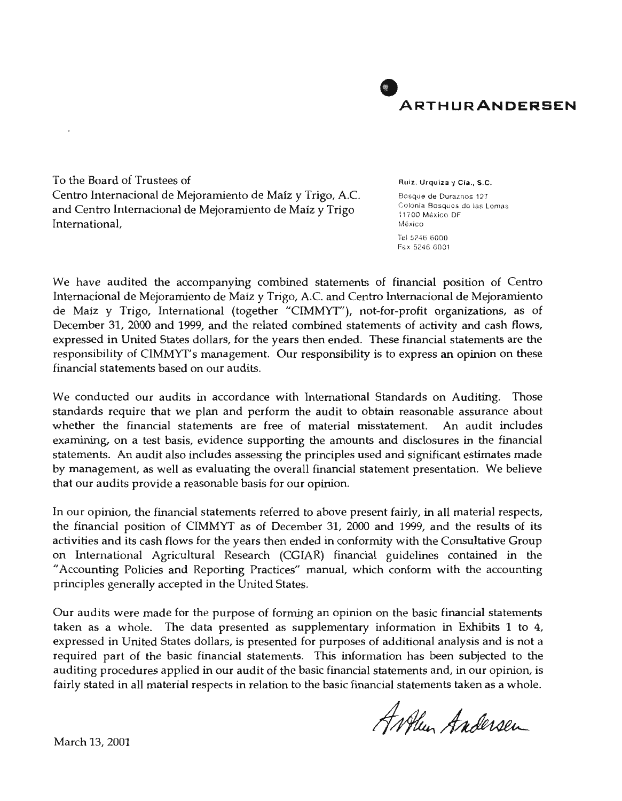

To the Board of Trustees of  $\sum_{x}$   $\sum_{x}$   $\sum_{x}$   $\sum_{x}$   $\sum_{x}$   $\sum_{x}$   $\sum_{x}$   $\sum_{x}$   $\sum_{x}$   $\sum_{x}$   $\sum_{x}$   $\sum_{x}$   $\sum_{x}$   $\sum_{x}$   $\sum_{x}$   $\sum_{x}$   $\sum_{x}$   $\sum_{x}$   $\sum_{x}$   $\sum_{x}$   $\sum_{x}$   $\sum_{x}$   $\sum_{x}$   $\sum_{x}$  Centro Internacional de Mejoramiento de Maíz y Trigo, A.C. Bosque de Duraznos 127<br>And Centro Internacional de Mejoramiento de Maía y Trigo, Bosque Bosques de las Lomas and Centro Internacional de Mejoramiento de Maíz y Trigo 11700 México DF International,  $\frac{1}{2}$  and  $\frac{1}{2}$  and  $\frac{1}{2}$  and  $\frac{1}{2}$  and  $\frac{1}{2}$  and  $\frac{1}{2}$  and  $\frac{1}{2}$  and  $\frac{1}{2}$  and  $\frac{1}{2}$  and  $\frac{1}{2}$  and  $\frac{1}{2}$  and  $\frac{1}{2}$  and  $\frac{1}{2}$  and  $\frac{1}{2}$  and  $\frac{1}{2}$  a

Tel 5246 6000 Fax 5246 0001

We have audited the accompanying combined statements of financial position of Centro Internacional de Mejorarniento de Maiz y Trigo, A.c. and Centro Internacional de Mejorarniento de Maiz y Trigo, International (together "CIMMYT"), not-for-profit organizations, as of December 31, 2000 and 1999, and the related combined statements of activity and cash flows, expressed in United States dollars, for the years then ended. These financial statements are the responsibility of CIMMYT's management. Our responsibility is to express an opinion on these financial statements based on our audits.

We conducted our audits in accordance with International Standards on Auditing. Those standards require that we plan and perform the audit to obtain reasonable assurance about whether the financial statements are free of material misstatement. An audit includes examining, on a test basis, evidence supporting the amounts and disclosures in the financial statements. An audit also includes assessing the principles used and significant estimates made by management, as well as evaluating the overall financial statement presentation. We believe that our audits provide a reasonable basis for our opinion.

In our opinion, the financial statements referred to above present fairly, in all material respects, the financial position of CIMMYT as of December 31, 2000 and 1999, and the results of its activities and its cash flows for the years then ended in conformity with the Consultative Group on International Agricultural Research (CGIAR) financial guidelines contained in the 1/ Accounting Policies and Reporting Practices" manual, which conform with the accounting principles generally accepted in the United States.

Our audits were made for the purpose of forming an opinion on the basic financial statements taken as a whole. The data presented as supplementary information in Exhibits 1 to 4, expressed in United States dollars, is presented for purposes of additional analysis and is not a required part of the basic financial statements. This information has been subjected to the auditing procedures applied in our audit of the basic financial statements and, in our opinion, is fairly stated in all material respects in relation to the basic financial statements taken as a whole.

Arthur Andersen

March 13, 2001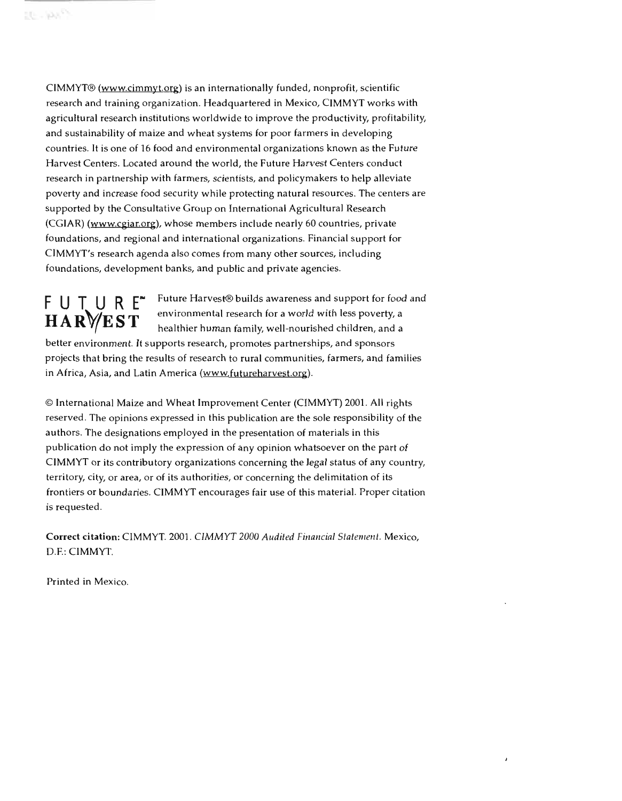CIMMYT® (www.cimmyt.org) is an internationally funded, nonprofit, scientific research and training organization. Headquartered in Mexico, CIMMYT works with agricultural research institutions worldwide to improve the productivity, profitability, and sustainability of maize and wheat systems for poor farmers in developing countries. It is one of 16 food and environmental organizations known as the Future Harvest Centers. Located around the world, the Future Harvest Centers conduct research in partnership with farmers, scientists, and policymakers to help alleviate poverty and increase food security while protecting natural resources. The centers are supported by the Consultative Group on International Agricultural Research (CGIAR) (www.cgiar.org), whose members include nearly 60 countries, private foundations, and regional and international organizations. Financial support for CIMMYT's research agenda also comes from many other sources, including foundations, development banks, and public and private agencies.

F U T U R  $E^*$  Future Harvest® builds awareness and support for food and  $HARWEST$  **healthier human family well-pourished children** and a environmental research for a world with less poverty, a healthier human family, well-nourished children, and a better environment. It supports research, promotes partnerships, and sponsors projects that bring the results of research to rural communities, farmers, and families in Africa, Asia, and Latin America (www.futureharvest.org).

© International Maize and Wheat Improvement Center (CIMMYT) 2001. All rights reserved. The opinions expressed in this publication are the sole responsibility of the authors. The designations employed in the presentation of materials in this publication do not imply the expression of any opinion whatsoever on the part of CIMMYT or its contributory organizations concerning the legal status of any country, territory, city, or area, or of its authorities, or concerning the delimitation of its frontiers or boundaries. CIMMYT encourages fair use of this material. Proper citation is requested.

Correct citation: CIMMYT 2001. *ClMMYT 2000 Audited Finallcial Statelllent.* Mexico, D.E: CIMMYT

 $\lambda$ 

Printed in Mexico.

 $(0.1967)$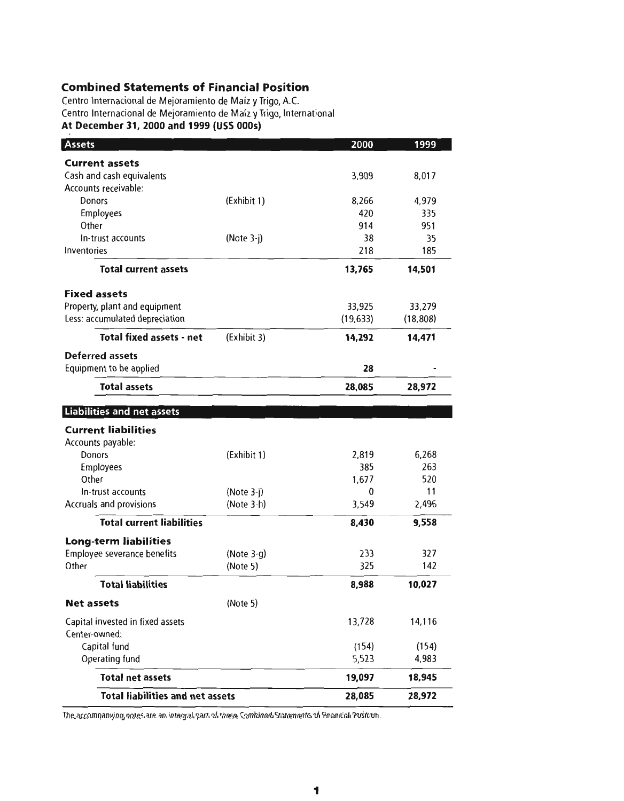# **Combined Statements of Financial Position**

Centro Internacional de Mejoramiento de Maiz y Trigo, A.C. Centro Internacional de Mejoramiento de Maiz y Trigo, International **At December 31.2000 and 1999 (US\$ OOOs)** 

| <b>Assets</b>                                     |               | 2000         | 1999       |
|---------------------------------------------------|---------------|--------------|------------|
| <b>Current assets</b>                             |               |              |            |
| Cash and cash equivalents                         |               | 3,909        | 8,017      |
| Accounts receivable:                              |               |              |            |
| <b>Donors</b>                                     | (Exhibit 1)   | 8,266        | 4,979      |
| Employees                                         |               | 420          | 335        |
| Other                                             |               | 914          | 951        |
| In-trust accounts                                 | $(Note 3-j)$  | 38           | 35         |
| Inventories                                       |               | 218          | 185        |
| <b>Total current assets</b>                       |               | 13,765       | 14,501     |
| <b>Fixed assets</b>                               |               |              |            |
| Property, plant and equipment                     |               | 33,925       | 33,279     |
| Less: accumulated depreciation                    |               | (19, 633)    | (18, 808)  |
| <b>Total fixed assets - net</b>                   | (Exhibit 3)   | 14,292       | 14,471     |
| <b>Deferred assets</b>                            |               |              |            |
| Equipment to be applied                           |               | 28           |            |
| <b>Total assets</b>                               |               | 28,085       | 28,972     |
| <b>Liabilities and net assets</b>                 |               |              |            |
| <b>Current liabilities</b>                        |               |              |            |
| Accounts payable:                                 |               |              |            |
| <b>Donors</b>                                     | (Exhibit 1)   | 2,819        | 6,268      |
| Employees<br>Other                                |               | 385<br>1,677 | 263<br>520 |
| In-trust accounts                                 | (Note $3-j$ ) | 0            | 11         |
| Accruals and provisions                           | $(Note 3-h)$  | 3,549        | 2,496      |
|                                                   |               |              |            |
| <b>Total current liabilities</b>                  |               | 8,430        | 9,558      |
| <b>Long-term liabilities</b>                      |               |              |            |
| Employee severance benefits                       | (Note $3-g$ ) | 233          | 327        |
| Other                                             | (Note 5)      | 325          | 142        |
| <b>Total liabilities</b>                          |               | 8,988        | 10,027     |
| <b>Net assets</b>                                 | (Note 5)      |              |            |
| Capital invested in fixed assets<br>Center-owned: |               | 13,728       | 14,116     |
| Capital fund                                      |               | (154)        | (154)      |
| Operating fund                                    |               | 5,523        | 4,983      |
| <b>Total net assets</b>                           |               | 19,097       | 18,945     |
| <b>Total liabilities and net assets</b>           |               | 28,085       | 28,972     |

The accompanying notes, are an integral part of these Combined Statements of Financial Position.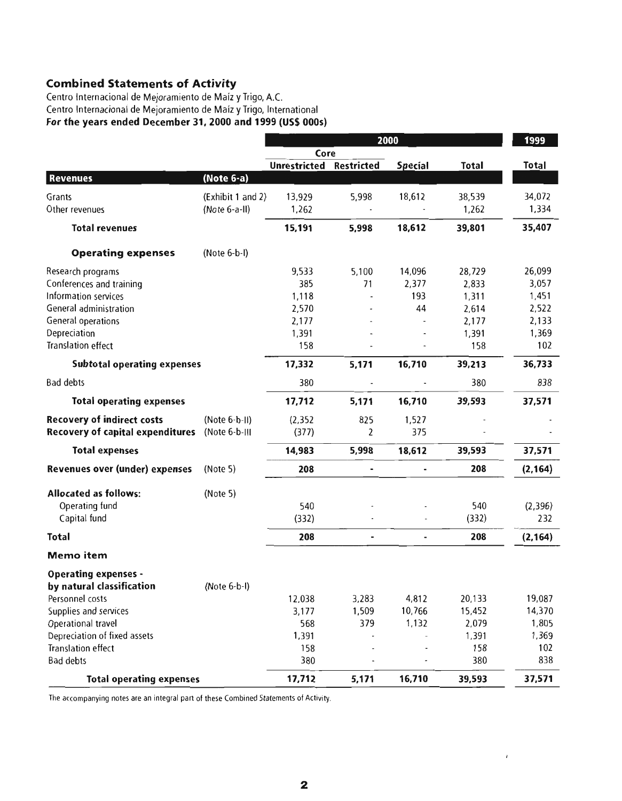# **Combined Statements of Activity**

Centro Internacional de Mejoramiento de Maíz y Trigo, A.C.<br>Centro Internacional de Mejoramiento de Maíz y Trigo, International<br>**For the years ended December 31, 2000 and 1999 (US\$ 000s)** 

|                                              |                   | 2000                |                          |                 | 1999            |                 |
|----------------------------------------------|-------------------|---------------------|--------------------------|-----------------|-----------------|-----------------|
|                                              |                   | Core                |                          |                 |                 |                 |
|                                              |                   | <b>Unrestricted</b> | <b>Restricted</b>        | <b>Special</b>  | Total           | <b>Total</b>    |
| <b>Revenues</b>                              | (Note 6-a)        |                     |                          |                 |                 |                 |
| Grants                                       | (Exhibit 1 and 2) | 13,929              | 5,998                    | 18,612          | 38,539          | 34,072          |
| Other revenues                               | (Note 6-a-II)     | 1,262               |                          |                 | 1,262           | 1,334           |
| <b>Total revenues</b>                        |                   | 15,191              | 5,998                    | 18,612          | 39,801          | 35,407          |
| <b>Operating expenses</b>                    | $(Note 6-b-1)$    |                     |                          |                 |                 |                 |
| Research programs                            |                   | 9,533               | 5,100                    | 14,096          | 28,729          | 26,099          |
| Conferences and training                     |                   | 385                 | 71                       | 2,377           | 2,833           | 3,057           |
| Information services                         |                   | 1,118               |                          | 193             | 1,311           | 1,451           |
| General administration                       |                   | 2,570               |                          | 44              | 2,614           | 2,522           |
| General operations                           |                   | 2,177               |                          |                 | 2,177           | 2,133           |
| Depreciation                                 |                   | 1,391               |                          |                 | 1,391           | 1,369           |
| <b>Translation effect</b>                    |                   | 158                 |                          |                 | 158             | 102             |
| <b>Subtotal operating expenses</b>           |                   | 17,332              | 5,171                    | 16,710          | 39,213          | 36,733          |
| <b>Bad debts</b>                             |                   | 380                 |                          |                 | 380             | 838             |
| <b>Total operating expenses</b>              |                   | 17,712              | 5,171                    | 16,710          | 39,593          | 37,571          |
| <b>Recovery of indirect costs</b>            | (Note 6-b-II)     | (2, 352)            | 825                      | 1,527           |                 |                 |
| <b>Recovery of capital expenditures</b>      | (Note 6-b-III     | (377)               | 2                        | 375             |                 |                 |
| <b>Total expenses</b>                        |                   | 14,983              | 5,998                    | 18,612          | 39,593          | 37,571          |
| Revenues over (under) expenses               | (Note 5)          | 208                 | $\overline{\phantom{0}}$ |                 | 208             | (2, 164)        |
| <b>Allocated as follows:</b>                 | (Note 5)          |                     |                          |                 |                 |                 |
| Operating fund                               |                   | 540                 |                          |                 | 540             | (2,396)         |
| Capital fund                                 |                   | (332)               |                          |                 | (332)           | 232             |
| <b>Total</b>                                 |                   | 208                 |                          | $\blacksquare$  | 208             | (2, 164)        |
| <b>Memo</b> item                             |                   |                     |                          |                 |                 |                 |
| <b>Operating expenses -</b>                  |                   |                     |                          |                 |                 |                 |
| by natural classification<br>Personnel costs | $(Note 6-b-1)$    |                     |                          |                 |                 | 19,087          |
|                                              |                   | 12,038<br>3,177     | 3,283                    | 4,812<br>10,766 | 20,133          |                 |
| Supplies and services<br>Operational travel  |                   | 568                 | 1,509<br>379             | 1,132           | 15,452<br>2,079 | 14,370<br>1,805 |
| Depreciation of fixed assets                 |                   |                     |                          |                 | 1,391           | 1,369           |
| <b>Translation effect</b>                    |                   | 1,391<br>158        |                          |                 | 158             | 102             |
| <b>Bad debts</b>                             |                   | 380                 |                          |                 | 380             | 838             |
|                                              |                   |                     |                          |                 |                 |                 |
| <b>Total operating expenses</b>              |                   | 17,712              | 5,171                    | 16,710          | 39,593          | 37,571          |

The accompanying notes are an integral part of these Combined Statements of Activity.

ł,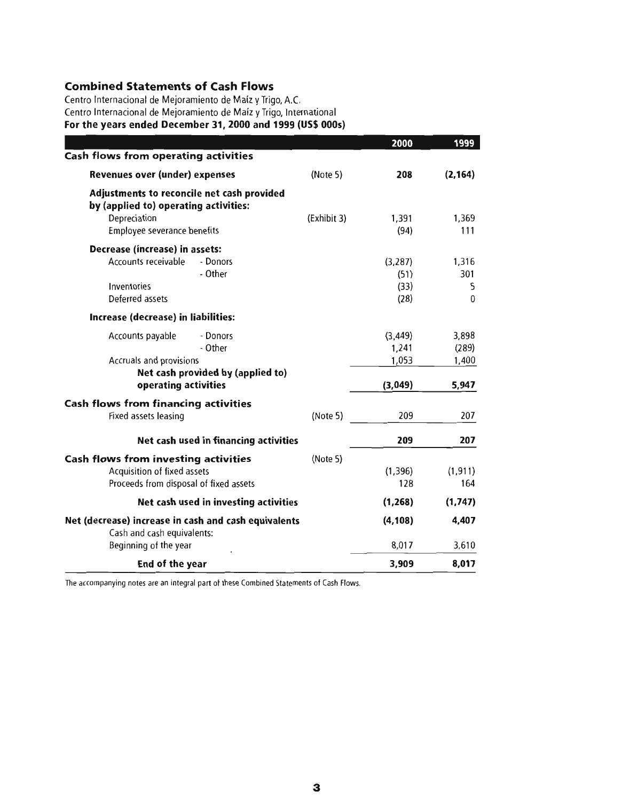## **Combined Statements of Cash Flows**

Centro Internacional de Mejoramiento de Maiz y Trigo, A.C. Centro Internacional de Mejoramiento de Maiz y Trigo, International **For the years ended December 31, 2000 and 1999 (US\$ ODDs)** 

|                                                                                     |             | 2000          | 1999         |
|-------------------------------------------------------------------------------------|-------------|---------------|--------------|
| <b>Cash flows from operating activities</b>                                         |             |               |              |
| <b>Revenues over (under) expenses</b>                                               | (Note 5)    | 208           | (2, 164)     |
| Adjustments to reconcile net cash provided<br>by (applied to) operating activities: |             |               |              |
| Depreciation<br>Employee severance benefits                                         | (Exhibit 3) | 1,391<br>(94) | 1,369<br>111 |
| Decrease (increase) in assets:                                                      |             |               |              |
| Accounts receivable<br>- Donors                                                     |             | (3, 287)      | 1,316        |
| - Other                                                                             |             | (51)          | 301          |
| Inventories                                                                         |             | (33)          | 5            |
| Deferred assets                                                                     |             | (28)          | $\bf{0}$     |
| Increase (decrease) in liabilities:                                                 |             |               |              |
| Accounts payable<br>- Donors                                                        |             | (3, 449)      | 3,898        |
| - Other                                                                             |             | 1,241         | (289)        |
| Accruals and provisions                                                             |             | 1,053         | 1,400        |
| Net cash provided by (applied to)                                                   |             |               |              |
| operating activities                                                                |             | (3,049)       | 5,947        |
| <b>Cash flows from financing activities</b>                                         |             |               |              |
| Fixed assets leasing                                                                | (Note 5)    | 209           | 207          |
| Net cash used in financing activities                                               |             | 209           | 207          |
| <b>Cash flows from investing activities</b>                                         | (Note 5)    |               |              |
| Acquisition of fixed assets                                                         |             | (1, 396)      | (1, 911)     |
| Proceeds from disposal of fixed assets                                              |             | 128           | 164          |
| Net cash used in investing activities                                               |             | (1, 268)      | (1, 747)     |
| Net (decrease) increase in cash and cash equivalents<br>Cash and cash equivalents:  |             | (4, 108)      | 4,407        |
| Beginning of the year                                                               |             | 8,017         | 3,610        |
| End of the year                                                                     |             | 3,909         | 8,017        |

The accompanying notes are an integral part of these Combined Statements of Cash Flows.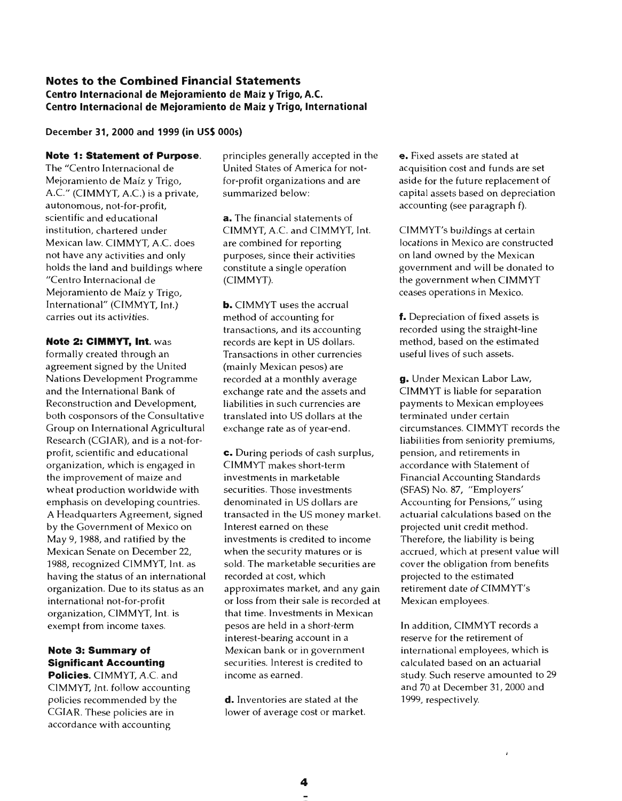#### Notes to the Combined Financial Statements Centro Internacional de Mejoramiento de Maiz y Trigo, A.C. Centro Internacional de Mejoramiento de Maiz y Trigo, International

December 31, 2000 and 1999 (in US\$ OOOs)

#### Note 1: Statement of Purpose.

The "Centro Internacional de Mejoramiento de Maiz y Trigo, A.c." (CIMMYT, A.C) is a private, autonomous, not-for-profit, scientific and educational institution, chartered under Mexican law. CIMMYT, A.C. does not have any activities and only holds the land and buildings where "Centro Internacional de Mejoramiento de Maiz y Trigo, International" (CIMMYT, Int.) carries out its activities.

#### Note 2: CIMMYT, Int. was

formally created through an agreement signed by the United Nations Development Programme and the International Bank of Reconstruction and Development, both cosponsors of the Consultative Group on International Agricultural Research (CGIAR), and is a not-forprofit, scientific and educational organization, which is engaged in the improvement of maize and wheat production worldwide with emphasis on developing countries. A Headquarters Agreement, signed by the Government of Mexico on May 9, 1988, and ratified by the Mexican Senate on December 22, 1988, recognized CIMMYT, lnt. as having the status of an international organization. Due to its status as an international not-for-profit organization, CIMMYT, Int. is exempt from income taxes.

# Note 3: Summary of Significant Accounting

Policies. CIMMYT, A.C. and CIMMYT, Int. follow accounting policies recommended by the CGIAR. These policies are in accordance with accounting

principles generally accepted in the United States of America for notfor-profit organiza tions and are summarized below:

a. The financial statements of CIMMYT, A.C and CIMMYT, Int. are combined for reporting purposes, since their activities constitute a single operation (CIMMYT).

**b.** CIMMYT uses the accrual method of accounting for transactions, and its accounting records are kept in US dollars. Transactions in other currencies (mainly Mexican pesos) are recorded at a monthly average exchange rate and the assets and liabilities in such currencies are translated into US dollars at the exchange rate as of year-end.

c. During periods of cash surplus, CIMMYT makes short-term investments in marketable securities. Those investments denominated in US dollars are transacted in the US money market. Interest earned on these investments is credited to income when the security matures or is sold. The marketable securities are recorded at cost, which approximates market, and any gain or loss from their sale is recorded at that time. Investments in Mexican pesos are held in a short-term interest-bearing account in a Mexican bank or in government securities. Interest is credited to income as earned.

d. Inventories are stated at the lower of average cost or market. e. Fixed assets are stated at acquisition cost and funds are set aside for the future replacement of capital assets based on depreciation accounting (see paragraph f).

CIMMYT's buildings at certain locations in Mexico are constructed on land owned by the Mexican government and will be donated to the government when CIMMYT ceases operations in Mexico.

f. Depreciation of fixed assets is recorded using the straight-line method, based on the estimated useful lives of such assets.

g. Under Mexican Labor Law, CIMMYT is liable for separation payments to Mexican employees terminated under certain circumstances. CIMMYT records the liabilities from seniority premiums, pension, and retirements in accordance with Statement of Financial Accounting Standards (SFAS) No. 87, "Employers' Accounting for Pensions," using actuarial calculations based on the projected unit credit method. Therefore, the liability is being accrued, which at present value will cover the obligation from benefits projected to the estimated retirement date of CIMMYT's Mexican employees.

In addition, CIMMYT records a reserve for the retirement of international employees, which is calculated based on an actuarial study. Such reserve amounted to 29 and 70 at December 31,2000 and 1999, respectively.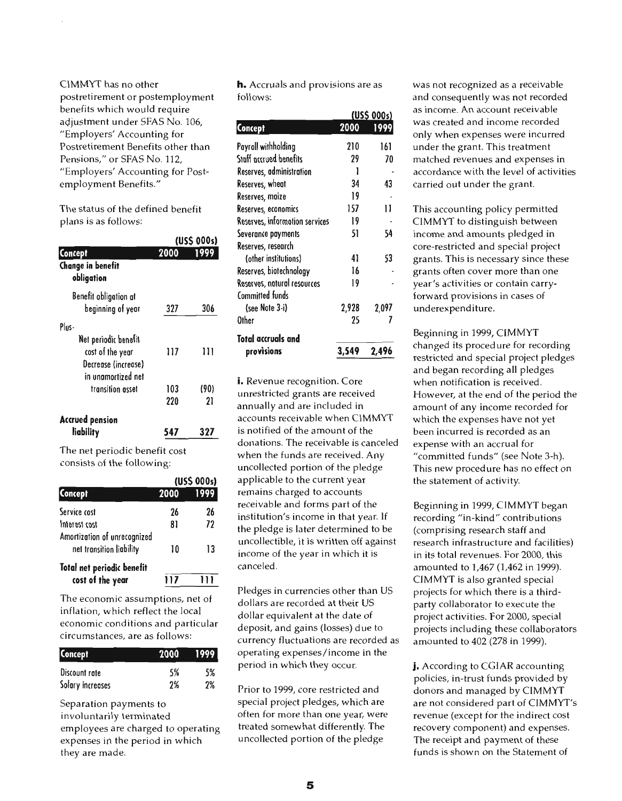CIMMYT has no other postretirement or postemployment benefits which would require adjustment under SFAS No. 106, "Employers' Accounting for Postretirement Benefits other than Pensions," or SFAS No. 112, "Employers' Accounting for Postemployment Benefits."

The status of the defined benefit plans is as follows:

|                                                                          |            | (USS 000s) |
|--------------------------------------------------------------------------|------------|------------|
| Concept<br>Change in benefit<br>obligation                               | 2000       | 1999       |
| Benefit obligation at<br>beginning of year                               | 327        | 306        |
| Plus-<br>Net periodic benefit<br>cost of the year<br>Decrease (increose) | 117        | 111        |
| in unamortized net<br>transition asset                                   | 103<br>220 | (90)<br>21 |
| <b>Accrued pension</b><br>liability                                      | 547        | 37         |

The net periodic benefit cost consists of the following:

|                                                          |      | (USS 000s) |
|----------------------------------------------------------|------|------------|
| Concept                                                  | 2000 | 1999       |
| Service cost                                             | 26   | 26         |
| Interest cost                                            | 81   | 72         |
| Amortization of unrecognized<br>net transition liability | 10   | 13         |
| Total net periodic benefit                               |      |            |
| cost of the year                                         | 117  | ייי        |

The economic assumptions, net of inflation, which reflect the local economic conditions and particular circumstances, are as follows:

| Concept          |    | 2000 1999 |  |
|------------------|----|-----------|--|
| Discount rate    | 5% | 5%        |  |
| Solary increases | 2% | 2%        |  |

Separation payments to involuntarily terminated employees are charged to operating expenses in the period in which they are made.

h. Accruals and provisions are as follows:

|                                | (US\$ 000s) |       |  |
|--------------------------------|-------------|-------|--|
| <b>Concept</b>                 | 2000        | 1999  |  |
| Payroll withholding            | 210         | 161   |  |
| <b>Staff accrued benefits</b>  | 29          | 70    |  |
| Reserves, administration       | 1           |       |  |
| Reserves, wheat                | 34          | 43    |  |
| Reserves, maize                | 19          |       |  |
| Reserves, economics            | 157         | 11    |  |
| Reserves, informotion services | 19          |       |  |
| Severance payments             | 51          | 54    |  |
| Reserves, research             |             |       |  |
| (other institutions)           | 41          | 53    |  |
| Reserves, biotechnology        | 16          |       |  |
| Reserves, natural resources    | 19          |       |  |
| <b>Committed funds</b>         |             |       |  |
| (see Note 3-i)                 | 2,928       | 2,097 |  |
| <b>Other</b>                   | 25          |       |  |
| <b>Total accruals and</b>      |             |       |  |
| provisions                     | 3,5         | 2,496 |  |

i. Revenue recognition. Core unrestricted grants are received annually and are included in accounts receivable when CIMMYT is notified of the amount of the donations. The receivable is canceled when the funds are received. Any uncollected portion of the pledge applicable to the current year remains charged to accounts receivable and forms part of the institution's income in that year. If the pledge is later determined to be uncollectible, it is written off against income of the year in which it is canceled.

Pledges in currencies other than US dollars are recorded at their US dollar equivalent at the date of deposit, and gains (losses) due to currency fluctuations are recorded as operating expenses/income in the period in which they occur.

Prior to 1999, core restricted and special project pledges, which are often for more than one year, were treated somewhat differently. The uncollected portion of the pledge

was not recognized as a receivable and consequently was not recorded as income. An account receivable was created and income recorded only when expenses were incurred under the grant. This treatment matched revenues and expenses in accordance with the level of activities carried out under the grant.

This accounting policy permitted ClMMYT to distinguish between income and amounts pledged in core-restricted and special project grants. This is necessary since these grants often cover more than one year's activities or contain carryforward provisions in cases of underexpenditure.

Beginning in 1999, C1MMYT changed its proced ure for recording restricted and special project pledges and began recording all pledges when notification is received. However, at the end of the period the amount of any income recorded for which the expenses have not yet been incurred is recorded as an expense with an accrual for "committed funds" (see Note 3-h). This new procedure has no effect on the statement of activity.

Beginning in 1999, CIMMYT began recording "in-kind" contributions (comprising research staff and research infrastructure and facilities) in its total revenues. For 2000, this amounted to 1,467 (1,462 in 1999). C1MMYT is also granted special projects for which there is a thirdparty collaborator to execute the project activities. For 2000, special projects including these collaborators amounted to 402 (278 in 1999).

j. According to CGIAR accounting policies, in-trust funds provided by donors and managed by C1MMYT are not considered part of C1MMYT's revenue (except for the indirect cost recovery component) and expenses. The receipt and payment of these funds is shown on the Statement of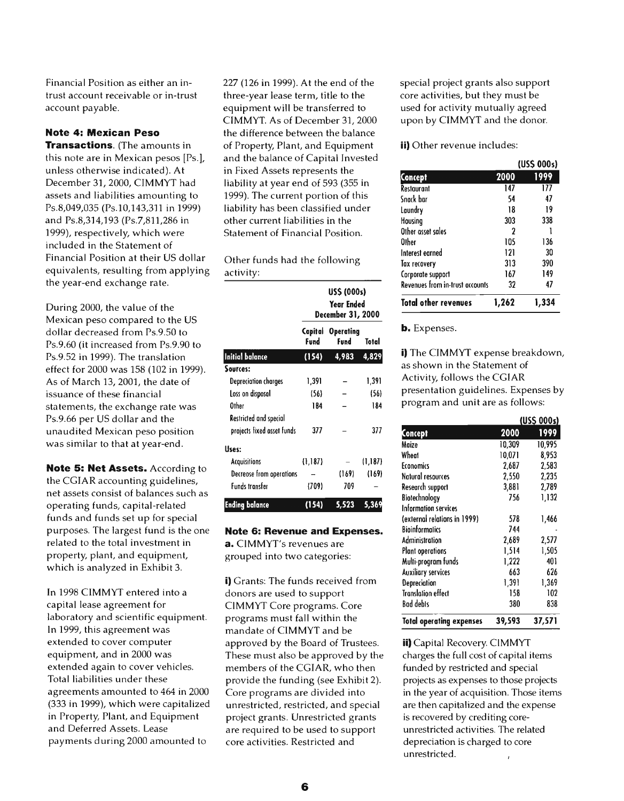Financial Position as either an intrust account receivable or in-trust account payable.

### Note 4: Mexican Peso

**Transactions.** (The amounts in this note are in Mexican pesos [Ps.], unless otherwise indicated). At December 31, 2000, CIMMYT had assets and liabilities amounting to Ps.8,049,035 (Ps.10,143,311 in 1999) and Ps.8,314,193 (Ps.7,811,286 in 1999), respectively, which were included in the Statement of Financial Position at their US dollar equivalents, resulting from applying the year-end exchange rate.

During 2000, the value of the Mexican peso compared to the US dollar decreased from Ps.9.50 to Ps.9.60 (it increased from Ps.9.90 to Ps.9.52 in 1999). The translation effect for 2000 was 158 (102 in 1999). As of March 13,2001, the date of issuance of these financial statements, the exchange rate was Ps.9.66 per US dollar and the unaudited Mexican peso position was similar to that at year-end.

Note 5: Net Assets. According to the CGIAR accounting guidelines, net assets consist of balances such as operating funds, capital-related funds and funds set up for special purposes. The largest fund is the one related to the total investment in property, plant, and equipment, which is analyzed in Exhibit 3.

In 1998 CIMMYT entered into a capital lease agreement for laboratory and scientific equipment. In 1999, this agreement was extended to cover computer equipment, and in 2000 was extended again to cover vehicles. Total liabilities under these agreements amounted to 464 in 2000 (333 in 1999), which were capitalized in Property, Plant, and Equipment and Deferred Assets. Lease payments during 2000 amounted to

227 (126 in 1999). At the end of the three-year lease term, title to the equipment will be transferred to CIMMYT. As of December 31, 2000 the difference between the balance of Property, Plant, and Equipment and the balance of Capital Invested in Fixed Assets represents the liability at year end of 593 (355 in 1999). The current portion of this liability has been classified under other current liabilities in the Statement of Financial Position.

Other funds had the following activity:

|                             | US\$ (000s)<br>Year Ended<br>December 31, 2000 |                          |         |  |  |
|-----------------------------|------------------------------------------------|--------------------------|---------|--|--|
|                             | Capital<br>Fund                                | <b>Operating</b><br>Fund | Total   |  |  |
| <b>Initial balance</b>      | (154)                                          | 4,983                    | 4,829   |  |  |
| Sources:                    |                                                |                          |         |  |  |
| <b>Depreciation charges</b> | 1,391                                          |                          | 1,391   |  |  |
| Loss on disposal            | (56)                                           |                          | (56)    |  |  |
| 0ther                       | 184                                            |                          | 184     |  |  |
| Restricted and special      |                                                |                          |         |  |  |
| projects fixed asset funds  | 377                                            |                          | 377     |  |  |
| Uses:                       |                                                |                          |         |  |  |
| <b>Acquisitions</b>         | (1.187)                                        |                          | (1.187) |  |  |
| Decreose from operations    |                                                | (169)                    | (169)   |  |  |
| <b>Funds transfer</b>       | (709)                                          | 709                      |         |  |  |
| <b>Ending balance</b>       | (154)                                          | 5,523                    | 5,369   |  |  |

#### Note 6: Revenue and Expenses.

a. CIMMYT's revenues are grouped into two categories:

i) Grants: The funds received from donors are used to support CIMMYT Core programs. Core programs must fall within the mandate of CIMMYT and be approved by the Board of Trustees. These must also be approved by the members of the CGIAR, who then provide the funding (see Exhibit 2). Core programs are divided into unrestricted, restricted, and special project grants. Unrestricted grants are required to be used to support core activities. Restricted and

special project grants also support core activities, but they must be used for activity mutually agreed upon by CIMMYT and the donor.

#### **ii)** Other revenue includes:

|                                 | (US\$ 000s) |       |  |  |
|---------------------------------|-------------|-------|--|--|
| Concept                         | 2000        | 1999  |  |  |
| Restaurant                      | 147         | 177   |  |  |
| Snack bar                       | 54          | 47    |  |  |
| Laundry                         | 18          | 19    |  |  |
| Housing                         | 303         | 338   |  |  |
| Other asset sales               | 2           |       |  |  |
| Other                           | 105         | 136   |  |  |
| Interest earned                 | 121         | 30    |  |  |
| <b>Tax recovery</b>             | 313         | 390   |  |  |
| Corporate support               | 167         | 149   |  |  |
| Revenues from in-trust accounts | 32          | 47    |  |  |
| <b>Total other revenues</b>     | 1.262       | 1.334 |  |  |

#### b. Expenses.

i) The CIMMYT expense breakdown, as shown in the Statement of Activity, follows the CGIAR presentation guidelines. Expenses by program and unit are as follows:

|                                 |        | (US\$ 000s) |
|---------------------------------|--------|-------------|
| Concept                         | 2000   | 1999        |
| Maize                           | 10,309 | 10,995      |
| Wheat                           | 10,071 | 8,953       |
| Economics                       | 2.687  | 2,583       |
| Natural resources               | 2,550  | 2,235       |
| Research support                | 3,881  | 2,789       |
| Biotechnology                   | 756    | 1,132       |
| Information services            |        |             |
| (external relations in 1999)    | 578    | 1,466       |
| <b>Bioinformalics</b>           | 744    |             |
| Administration                  | 2,689  | 2,577       |
| <b>Plant operations</b>         | 1,514  | 1.505       |
| Multi-program funds             | 1,222  | 401         |
| <b>Auxiliary services</b>       | 663    | 626         |
| Depreciation                    | 1,391  | 1,369       |
| <b>Translation</b> effect       | 158    | 102         |
| <b>Bad debis</b>                | 380    | 838         |
| <b>Total operating expenses</b> | 39,593 | 37,571      |

ii) Capital Recovery. CIMMYT charges the full cost of capital items funded by restricted and special projects as expenses to those projects in the year of acquisition. Those items are then capitalized and the expense is recovered by crediting coreunrestricted activities. The related depreciation is charged to core unrestricted. J.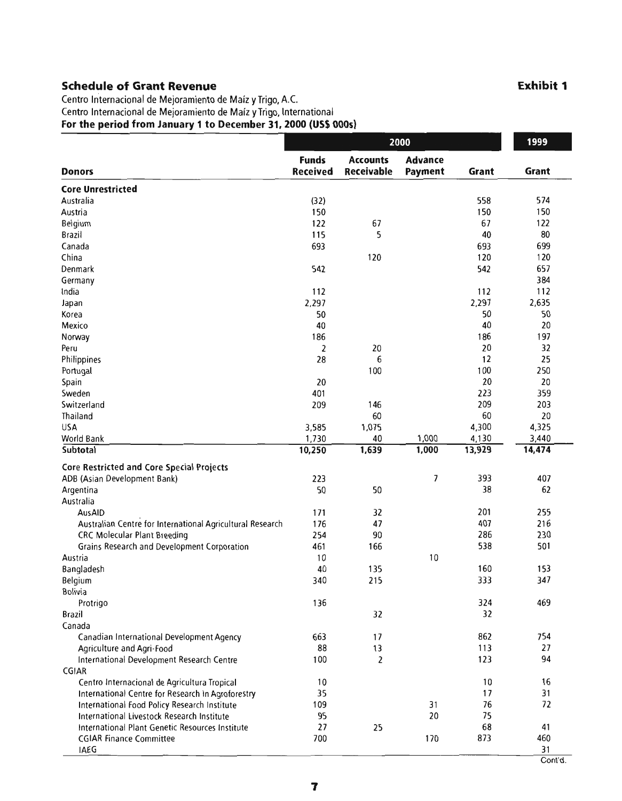# **Schedule of Grant Revenue Access 2008 12 and 2008 12 and 2008 12 and 2008 12 and 2008 12 and 2008 12 and 2008 12 and 2008 12 and 2008 12 and 2008 12 and 2008 12 and 2008 12 and 2008 12 and 2008 12 and 2008 12 and 2008 12**

# Centro Internacional de Mejoramiento de Maiz y Trigo, A.C. Centro Internacional de Mejoramiento de Maiz y Trigo, International **For the period from January 1 to December 31, 2000 (US\$ 0005)**

|                                                                                                   | 2000                            |                                      |                                  |        | 1999   |
|---------------------------------------------------------------------------------------------------|---------------------------------|--------------------------------------|----------------------------------|--------|--------|
| <b>Donors</b>                                                                                     | <b>Funds</b><br><b>Received</b> | <b>Accounts</b><br><b>Receivable</b> | <b>Advance</b><br><b>Payment</b> | Grant  | Grant  |
| <b>Core Unrestricted</b>                                                                          |                                 |                                      |                                  |        |        |
| Australia                                                                                         | (32)                            |                                      |                                  | 558    | 574    |
| Austria                                                                                           | 150                             |                                      |                                  | 150    | 150    |
| Belgium                                                                                           | 122                             | 67                                   |                                  | 67     | 122    |
| Brazil                                                                                            | 115                             | 5                                    |                                  | 40     | 80     |
| Canada                                                                                            | 693                             |                                      |                                  | 693    | 699    |
| China                                                                                             |                                 | 120                                  |                                  | 120    | 120    |
| Denmark                                                                                           | 542                             |                                      |                                  | 542    | 657    |
| Germany                                                                                           |                                 |                                      |                                  |        | 384    |
| India                                                                                             | 112                             |                                      |                                  | 112    | 112    |
| Japan                                                                                             | 2,297                           |                                      |                                  | 2,297  | 2,635  |
| Korea                                                                                             | 50                              |                                      |                                  | 50     | 50     |
| Mexico                                                                                            | 40                              |                                      |                                  | 40     | 20     |
| Norway                                                                                            | 186                             |                                      |                                  | 186    | 197    |
| Peru                                                                                              | 2                               | 20                                   |                                  | 20     | 32     |
| Philippines                                                                                       | 28                              | 6                                    |                                  | 12     | 25     |
| Portugal                                                                                          |                                 | 100                                  |                                  | 100    | 250    |
| Spain                                                                                             | 20                              |                                      |                                  | 20     | 20     |
| Sweden                                                                                            | 401                             |                                      |                                  | 223    | 359    |
| Switzerland                                                                                       | 209                             | 146                                  |                                  | 209    | 203    |
| Thailand                                                                                          |                                 | 60                                   |                                  | 60     | 20     |
| <b>USA</b>                                                                                        | 3,585                           | 1,075                                |                                  | 4,300  | 4,325  |
| World Bank                                                                                        | 1,730                           | 40                                   | 1,000                            | 4,130  | 3,440  |
| Subtotal                                                                                          | 10,250                          | 1,639                                | 1,000                            | 13,929 | 14,474 |
| <b>Core Restricted and Core Special Projects</b>                                                  |                                 |                                      |                                  |        |        |
| ADB (Asian Development Bank)                                                                      | 223                             |                                      | 7                                | 393    | 407    |
| Argentina                                                                                         | 50                              | 50                                   |                                  | 38     | 62     |
| Australia                                                                                         |                                 |                                      |                                  |        |        |
| <b>AusAID</b>                                                                                     | 171                             | 32                                   |                                  | 201    | 255    |
| Australian Centre for International Agricultural Research                                         | 176                             | 47                                   |                                  | 407    | 216    |
| <b>CRC Molecular Plant Breeding</b>                                                               | 254                             | 90                                   |                                  | 286    | 230    |
| Grains Research and Development Corporation                                                       | 461                             | 166                                  |                                  | 538    | 501    |
| Austria                                                                                           | 10                              |                                      | 10                               |        |        |
| Bangladesh                                                                                        | 40                              | 135                                  |                                  | 160    | 153    |
| Belgium                                                                                           | 340                             | 215                                  |                                  | 333    | 347    |
| <b>Bolivia</b>                                                                                    |                                 |                                      |                                  |        |        |
| Protrigo                                                                                          | 136                             |                                      |                                  | 324    | 469    |
| Brazil                                                                                            |                                 | 32                                   |                                  | 32     |        |
| Canada                                                                                            |                                 |                                      |                                  |        |        |
| Canadian International Development Agency                                                         | 663                             | 17                                   |                                  | 862    | 754    |
| Agriculture and Agri-Food                                                                         | 88                              | 13                                   |                                  | 113    | 27     |
| International Development Research Centre                                                         | 100                             | 2                                    |                                  | 123    | 94     |
| CGIAR                                                                                             |                                 |                                      |                                  |        |        |
| Centro Internacional de Agricultura Tropical                                                      | 10                              |                                      |                                  | 10     | 16     |
|                                                                                                   | 35                              |                                      |                                  | 17     | 31     |
| International Centre for Research In Agroforestry<br>International Food Policy Research Institute | 109                             |                                      | 31                               | 76     | 72     |
| International Livestock Research Institute                                                        |                                 |                                      | 20                               | 75     |        |
|                                                                                                   | 95<br>27                        |                                      |                                  | 68     | 41     |
| International Plant Genetic Resources Institute<br><b>CGIAR Finance Committee</b>                 | 700                             | 25                                   | 170                              | 873    | 460    |
| <b>IAEG</b>                                                                                       |                                 |                                      |                                  |        | 31     |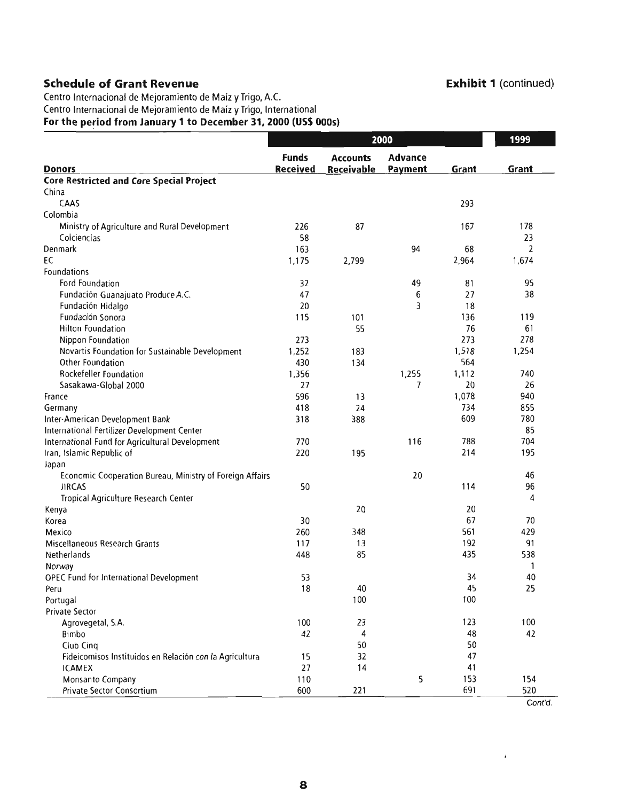# **Schedule of Grant Revenue Exhibit 1** (continued)

Centro Internacional de Mejoramiento de Maiz y Trigo, A.C. Centro Internacional de Mejoramiento de Maiz y Trigo, International **For the period from January 1 to December 31, 2000 (US\$ 0005)** 

|                                                          | 2000                     |                                      |                           | 1999  |       |
|----------------------------------------------------------|--------------------------|--------------------------------------|---------------------------|-------|-------|
| <b>Donors</b>                                            | <b>Funds</b><br>Received | <b>Accounts</b><br><b>Receivable</b> | <b>Advance</b><br>Payment | Grant | Grant |
| <b>Core Restricted and Core Special Project</b>          |                          |                                      |                           |       |       |
| China                                                    |                          |                                      |                           |       |       |
| CAAS                                                     |                          |                                      |                           | 293   |       |
| Colombia                                                 |                          |                                      |                           |       |       |
| Ministry of Agriculture and Rural Development            | 226                      | 87                                   |                           | 167   | 178   |
| Colciencias                                              | 58                       |                                      |                           |       | 23    |
| Denmark                                                  | 163                      |                                      | 94                        | 68    | 2     |
| EC                                                       | 1,175                    | 2,799                                |                           | 2,964 | 1,674 |
| Foundations                                              |                          |                                      |                           |       |       |
| <b>Ford Foundation</b>                                   | 32                       |                                      | 49                        | 81    | 95    |
| Fundación Guanajuato Produce A.C.                        | 47                       |                                      | 6                         | 27    | 38    |
| Fundación Hidalgo                                        | 20                       |                                      | 3                         | 18    |       |
| Fundación Sonora                                         | 115                      | 101                                  |                           | 136   | 119   |
| <b>Hilton Foundation</b>                                 |                          | 55                                   |                           | 76    | 61    |
|                                                          |                          |                                      |                           |       |       |
| Nippon Foundation                                        | 273                      |                                      |                           | 273   | 278   |
| Novartis Foundation for Sustainable Development          | 1,252                    | 183                                  |                           | 1,518 | 1,254 |
| Other Foundation                                         | 430                      | 134                                  |                           | 564   |       |
| Rockefeller Foundation                                   | 1,356                    |                                      | 1,255                     | 1,112 | 740   |
| Sasakawa-Global 2000                                     | 27                       |                                      | 7                         | 20    | 26    |
| France                                                   | 596                      | 13                                   |                           | 1,078 | 940   |
| Germany                                                  | 418                      | 24                                   |                           | 734   | 855   |
| Inter-American Development Bank                          | 318                      | 388                                  |                           | 609   | 780   |
| International Fertilizer Development Center              |                          |                                      |                           |       | 85    |
| International Fund for Agricultural Development          | 770                      |                                      | 116                       | 788   | 704   |
| Iran, Islamic Republic of                                | 220                      | 195                                  |                           | 214   | 195   |
| Japan                                                    |                          |                                      |                           |       |       |
| Economic Cooperation Bureau, Ministry of Foreign Affairs |                          |                                      | 20                        |       | 46    |
| <b>JIRCAS</b>                                            | 50                       |                                      |                           | 114   | 96    |
| Tropical Agriculture Research Center                     |                          |                                      |                           |       | 4     |
| Kenya                                                    |                          | 20                                   |                           | 20    |       |
| Korea                                                    | 30                       |                                      |                           | 67    | 70    |
| Mexico                                                   | 260                      | 348                                  |                           | 561   | 429   |
| Miscellaneous Research Grants                            | 117                      | 13                                   |                           | 192   | 91    |
| Netherlands                                              | 448                      | 85                                   |                           | 435   | 538   |
| Norway                                                   |                          |                                      |                           |       | 1     |
| OPEC Fund for International Development                  | 53                       |                                      |                           | 34    | 40    |
| Peru                                                     | 18                       | 40                                   |                           | 45    | 25    |
| Portugal                                                 |                          | 100                                  |                           | 100   |       |
| Private Sector                                           |                          |                                      |                           |       |       |
|                                                          | 100                      | 23                                   |                           | 123   | 100   |
| Agrovegetal, S.A.                                        |                          |                                      |                           | 48    | 42    |
| Bimbo                                                    | 42                       | 4                                    |                           |       |       |
| Club Cinq                                                |                          | 50                                   |                           | 50    |       |
| Fideicomisos Instituidos en Relación con la Agricultura  | 15                       | 32                                   |                           | 47    |       |
| <b>ICAMEX</b>                                            | 27                       | 14                                   |                           | 41    |       |
| Monsanto Company                                         | 110                      |                                      | 5                         | 153   | 154   |
| Private Sector Consortium                                | 600                      | 221                                  |                           | 691   | 520   |

Cont'd.

 $\epsilon$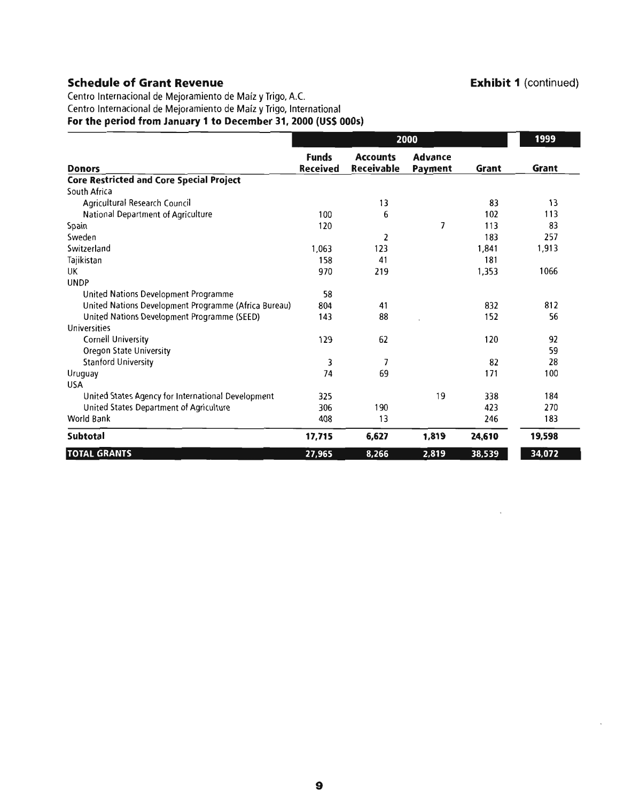# **Schedule of Grant Revenue Exhibit 1** (continued)

Centro Internacional de Mejoramiento de Maíz y Trigo, A.C.<br>Centro Internacional de Mejoramiento de Maíz y Trigo, International<br>**For the period from January 1 to December 31, 2000 (US\$ 000s)** 

|                                                      | 2000                     |                               |                                  |        |        |
|------------------------------------------------------|--------------------------|-------------------------------|----------------------------------|--------|--------|
| <b>Donors</b>                                        | <b>Funds</b><br>Received | <b>Accounts</b><br>Receivable | <b>Advance</b><br><b>Payment</b> | Grant  | Grant  |
| <b>Core Restricted and Core Special Project</b>      |                          |                               |                                  |        |        |
| South Africa                                         |                          |                               |                                  |        |        |
| Agricultural Research Council                        |                          | 13                            |                                  | 83     | 13     |
| National Department of Agriculture                   | 100                      | 6                             |                                  | 102    | 113    |
| Spain                                                | 120                      |                               | $\overline{7}$                   | 113    | 83     |
| Sweden                                               |                          | 2                             |                                  | 183    | 257    |
| Switzerland                                          | 1,063                    | 123                           |                                  | 1,841  | 1,913  |
| Tajikistan                                           | 158                      | 41                            |                                  | 181    |        |
| UK                                                   | 970                      | 219                           |                                  | 1,353  | 1066   |
| <b>UNDP</b>                                          |                          |                               |                                  |        |        |
| United Nations Development Programme                 | 58                       |                               |                                  |        |        |
| United Nations Development Programme (Africa Bureau) | 804                      | 41                            |                                  | 832    | 812    |
| United Nations Development Programme (SEED)          | 143                      | 88                            |                                  | 152    | 56     |
| Universities                                         |                          |                               |                                  |        |        |
| <b>Cornell University</b>                            | 129                      | 62                            |                                  | 120    | 92     |
| <b>Oregon State University</b>                       |                          |                               |                                  |        | 59     |
| <b>Stanford University</b>                           | 3                        | 7                             |                                  | 82     | 28     |
| Uruguay                                              | 74                       | 69                            |                                  | 171    | 100    |
| <b>USA</b>                                           |                          |                               |                                  |        |        |
| United States Agency for International Development   | 325                      |                               | 19                               | 338    | 184    |
| United States Department of Agriculture              | 306                      | 190                           |                                  | 423    | 270    |
| World Bank                                           | 408                      | 13                            |                                  | 246    | 183    |
| <b>Subtotal</b>                                      | 17,715                   | 6,627                         | 1,819                            | 24,610 | 19,598 |
| <b>TOTAL GRANTS</b>                                  | 27,965                   | 8,266                         | 2,819                            | 38,539 | 34,072 |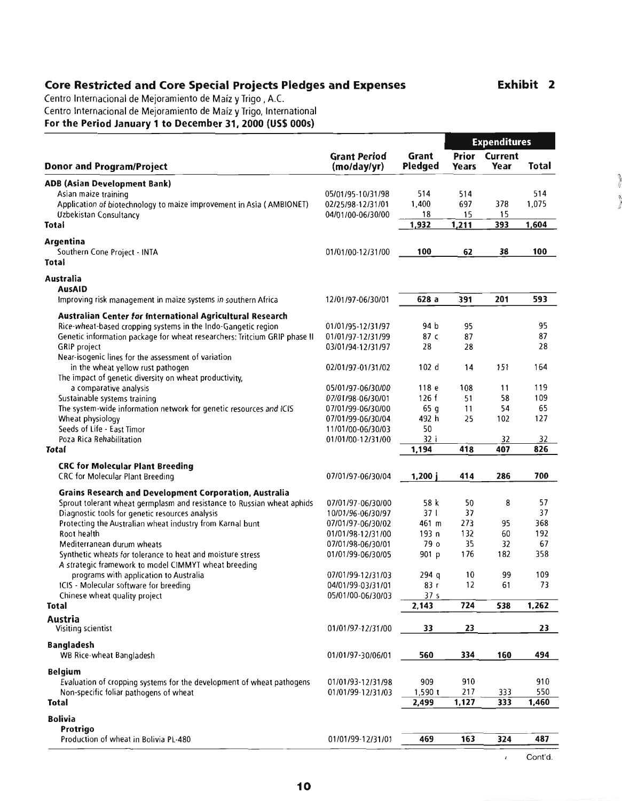Centro Internacional de Mejoramiento de Maíz y Trigo , A.C.<br>Centro Internacional de Mejoramiento de Maíz y Trigo, International<br>**For the Period January 1 to December 31, 2000 (US\$ 000s)** 

| <b>Donor and Program/Project</b><br><b>ADB (Asian Development Bank)</b><br>Asian maize training<br>Application of biotechnology to maize improvement in Asia (AMBIONET)<br>Uzbekistan Consultancy<br>Total<br>Argentina<br>Southern Cone Project - INTA<br>Total<br>Australia<br><b>AusAID</b><br>Improving risk management in maize systems in southern Africa<br>Australian Center for International Agricultural Research<br>Rice-wheat-based cropping systems in the Indo-Gangetic region<br>01/01/95-12/31/97<br>Genetic information package for wheat researchers: Tritcium GRIP phase II<br>01/01/97-12/31/99<br><b>GRIP</b> project<br>03/01/94-12/31/97<br>Near-isogenic lines for the assessment of variation<br>in the wheat yellow rust pathogen<br>The impact of genetic diversity on wheat productivity,<br>a comparative analysis<br>Sustainable systems training<br>The system-wide information network for genetic resources and ICIS<br>Wheat physiology<br>Seeds of Life - East Timor<br>Poza Rica Rehabilitation<br>Total<br><b>CRC for Molecular Plant Breeding</b><br>CRC for Molecular Plant Breeding<br><b>Grains Research and Development Corporation, Australia</b><br>Sprout tolerant wheat germplasm and resistance to Russian wheat aphids<br>07/01/97-06/30/00<br>Diagnostic tools for genetic resources analysis<br>10/01/96-06/30/97<br>Protecting the Australian wheat industry from Karnal bunt<br>07/01/97-06/30/02<br>Root health<br>01/01/98-12/31/00<br>07/01/98-06/30/01<br>Mediterranean durum wheats<br>Synthetic wheats for tolerance to heat and moisture stress<br>01/01/99-06/30/05<br>A strategic framework to model CIMMYT wheat breeding<br>07/01/99-12/31/03<br>programs with application to Australia<br>04/01/99-03/31/01<br>ICIS - Molecular software for breeding<br>Chinese wheat quality project<br>05/01/00-06/30/03<br>Total<br>Austria<br>Visiting scientist<br><b>Bangladesh</b><br>WB Rice-wheat Bangladesh | <b>Grant Period</b><br>(moday/yr)<br>05/01/95-10/31/98<br>02/25/98-12/31/01<br>04/01/00-06/30/00<br>01/01/00-12/31/00 | Grant<br>Pledged<br>514<br>1,400<br>18<br>1,932 | Prior<br>Years<br>514<br>697<br>15 | <b>Current</b><br>Year<br>378 | <b>Total</b> |
|-------------------------------------------------------------------------------------------------------------------------------------------------------------------------------------------------------------------------------------------------------------------------------------------------------------------------------------------------------------------------------------------------------------------------------------------------------------------------------------------------------------------------------------------------------------------------------------------------------------------------------------------------------------------------------------------------------------------------------------------------------------------------------------------------------------------------------------------------------------------------------------------------------------------------------------------------------------------------------------------------------------------------------------------------------------------------------------------------------------------------------------------------------------------------------------------------------------------------------------------------------------------------------------------------------------------------------------------------------------------------------------------------------------------------------------------------------------------------------------------------------------------------------------------------------------------------------------------------------------------------------------------------------------------------------------------------------------------------------------------------------------------------------------------------------------------------------------------------------------------------------------------------------------------------------------------------------------------------|-----------------------------------------------------------------------------------------------------------------------|-------------------------------------------------|------------------------------------|-------------------------------|--------------|
|                                                                                                                                                                                                                                                                                                                                                                                                                                                                                                                                                                                                                                                                                                                                                                                                                                                                                                                                                                                                                                                                                                                                                                                                                                                                                                                                                                                                                                                                                                                                                                                                                                                                                                                                                                                                                                                                                                                                                                         |                                                                                                                       |                                                 |                                    |                               |              |
|                                                                                                                                                                                                                                                                                                                                                                                                                                                                                                                                                                                                                                                                                                                                                                                                                                                                                                                                                                                                                                                                                                                                                                                                                                                                                                                                                                                                                                                                                                                                                                                                                                                                                                                                                                                                                                                                                                                                                                         |                                                                                                                       |                                                 |                                    |                               |              |
|                                                                                                                                                                                                                                                                                                                                                                                                                                                                                                                                                                                                                                                                                                                                                                                                                                                                                                                                                                                                                                                                                                                                                                                                                                                                                                                                                                                                                                                                                                                                                                                                                                                                                                                                                                                                                                                                                                                                                                         |                                                                                                                       |                                                 |                                    |                               | 514          |
|                                                                                                                                                                                                                                                                                                                                                                                                                                                                                                                                                                                                                                                                                                                                                                                                                                                                                                                                                                                                                                                                                                                                                                                                                                                                                                                                                                                                                                                                                                                                                                                                                                                                                                                                                                                                                                                                                                                                                                         |                                                                                                                       |                                                 |                                    |                               | 1,075        |
|                                                                                                                                                                                                                                                                                                                                                                                                                                                                                                                                                                                                                                                                                                                                                                                                                                                                                                                                                                                                                                                                                                                                                                                                                                                                                                                                                                                                                                                                                                                                                                                                                                                                                                                                                                                                                                                                                                                                                                         |                                                                                                                       |                                                 |                                    |                               |              |
|                                                                                                                                                                                                                                                                                                                                                                                                                                                                                                                                                                                                                                                                                                                                                                                                                                                                                                                                                                                                                                                                                                                                                                                                                                                                                                                                                                                                                                                                                                                                                                                                                                                                                                                                                                                                                                                                                                                                                                         |                                                                                                                       |                                                 |                                    | 15<br>393                     | 1,604        |
|                                                                                                                                                                                                                                                                                                                                                                                                                                                                                                                                                                                                                                                                                                                                                                                                                                                                                                                                                                                                                                                                                                                                                                                                                                                                                                                                                                                                                                                                                                                                                                                                                                                                                                                                                                                                                                                                                                                                                                         |                                                                                                                       |                                                 | 1,211                              |                               |              |
|                                                                                                                                                                                                                                                                                                                                                                                                                                                                                                                                                                                                                                                                                                                                                                                                                                                                                                                                                                                                                                                                                                                                                                                                                                                                                                                                                                                                                                                                                                                                                                                                                                                                                                                                                                                                                                                                                                                                                                         |                                                                                                                       |                                                 |                                    |                               |              |
|                                                                                                                                                                                                                                                                                                                                                                                                                                                                                                                                                                                                                                                                                                                                                                                                                                                                                                                                                                                                                                                                                                                                                                                                                                                                                                                                                                                                                                                                                                                                                                                                                                                                                                                                                                                                                                                                                                                                                                         |                                                                                                                       | 100                                             | 62                                 | 38                            | 100          |
|                                                                                                                                                                                                                                                                                                                                                                                                                                                                                                                                                                                                                                                                                                                                                                                                                                                                                                                                                                                                                                                                                                                                                                                                                                                                                                                                                                                                                                                                                                                                                                                                                                                                                                                                                                                                                                                                                                                                                                         |                                                                                                                       |                                                 |                                    |                               |              |
|                                                                                                                                                                                                                                                                                                                                                                                                                                                                                                                                                                                                                                                                                                                                                                                                                                                                                                                                                                                                                                                                                                                                                                                                                                                                                                                                                                                                                                                                                                                                                                                                                                                                                                                                                                                                                                                                                                                                                                         |                                                                                                                       |                                                 |                                    |                               |              |
|                                                                                                                                                                                                                                                                                                                                                                                                                                                                                                                                                                                                                                                                                                                                                                                                                                                                                                                                                                                                                                                                                                                                                                                                                                                                                                                                                                                                                                                                                                                                                                                                                                                                                                                                                                                                                                                                                                                                                                         |                                                                                                                       |                                                 |                                    |                               |              |
|                                                                                                                                                                                                                                                                                                                                                                                                                                                                                                                                                                                                                                                                                                                                                                                                                                                                                                                                                                                                                                                                                                                                                                                                                                                                                                                                                                                                                                                                                                                                                                                                                                                                                                                                                                                                                                                                                                                                                                         | 12/01/97-06/30/01                                                                                                     | 628 a                                           | 391                                | 201                           | 593          |
|                                                                                                                                                                                                                                                                                                                                                                                                                                                                                                                                                                                                                                                                                                                                                                                                                                                                                                                                                                                                                                                                                                                                                                                                                                                                                                                                                                                                                                                                                                                                                                                                                                                                                                                                                                                                                                                                                                                                                                         |                                                                                                                       |                                                 |                                    |                               |              |
|                                                                                                                                                                                                                                                                                                                                                                                                                                                                                                                                                                                                                                                                                                                                                                                                                                                                                                                                                                                                                                                                                                                                                                                                                                                                                                                                                                                                                                                                                                                                                                                                                                                                                                                                                                                                                                                                                                                                                                         |                                                                                                                       | 94 b                                            | 95                                 |                               | 95           |
|                                                                                                                                                                                                                                                                                                                                                                                                                                                                                                                                                                                                                                                                                                                                                                                                                                                                                                                                                                                                                                                                                                                                                                                                                                                                                                                                                                                                                                                                                                                                                                                                                                                                                                                                                                                                                                                                                                                                                                         |                                                                                                                       | 87 c                                            | 87                                 |                               | 87           |
|                                                                                                                                                                                                                                                                                                                                                                                                                                                                                                                                                                                                                                                                                                                                                                                                                                                                                                                                                                                                                                                                                                                                                                                                                                                                                                                                                                                                                                                                                                                                                                                                                                                                                                                                                                                                                                                                                                                                                                         |                                                                                                                       | 28                                              | 28                                 |                               | 28           |
|                                                                                                                                                                                                                                                                                                                                                                                                                                                                                                                                                                                                                                                                                                                                                                                                                                                                                                                                                                                                                                                                                                                                                                                                                                                                                                                                                                                                                                                                                                                                                                                                                                                                                                                                                                                                                                                                                                                                                                         |                                                                                                                       |                                                 |                                    |                               |              |
|                                                                                                                                                                                                                                                                                                                                                                                                                                                                                                                                                                                                                                                                                                                                                                                                                                                                                                                                                                                                                                                                                                                                                                                                                                                                                                                                                                                                                                                                                                                                                                                                                                                                                                                                                                                                                                                                                                                                                                         | 02/01/97-01/31/02                                                                                                     | 102d                                            | 14                                 | 151                           | 164          |
|                                                                                                                                                                                                                                                                                                                                                                                                                                                                                                                                                                                                                                                                                                                                                                                                                                                                                                                                                                                                                                                                                                                                                                                                                                                                                                                                                                                                                                                                                                                                                                                                                                                                                                                                                                                                                                                                                                                                                                         |                                                                                                                       |                                                 |                                    |                               |              |
|                                                                                                                                                                                                                                                                                                                                                                                                                                                                                                                                                                                                                                                                                                                                                                                                                                                                                                                                                                                                                                                                                                                                                                                                                                                                                                                                                                                                                                                                                                                                                                                                                                                                                                                                                                                                                                                                                                                                                                         | 05/01/97-06/30/00                                                                                                     | 118 e                                           | 108                                | 11                            | 119          |
|                                                                                                                                                                                                                                                                                                                                                                                                                                                                                                                                                                                                                                                                                                                                                                                                                                                                                                                                                                                                                                                                                                                                                                                                                                                                                                                                                                                                                                                                                                                                                                                                                                                                                                                                                                                                                                                                                                                                                                         | 07/01/98-06/30/01                                                                                                     | 126f                                            | 51                                 | 58                            | 109          |
|                                                                                                                                                                                                                                                                                                                                                                                                                                                                                                                                                                                                                                                                                                                                                                                                                                                                                                                                                                                                                                                                                                                                                                                                                                                                                                                                                                                                                                                                                                                                                                                                                                                                                                                                                                                                                                                                                                                                                                         | 07/01/99-06/30/00                                                                                                     | 65q                                             | 11                                 | 54                            | 65           |
|                                                                                                                                                                                                                                                                                                                                                                                                                                                                                                                                                                                                                                                                                                                                                                                                                                                                                                                                                                                                                                                                                                                                                                                                                                                                                                                                                                                                                                                                                                                                                                                                                                                                                                                                                                                                                                                                                                                                                                         | 07/01/99-06/30/04                                                                                                     | 492 h                                           | 25                                 | 102                           | 127          |
|                                                                                                                                                                                                                                                                                                                                                                                                                                                                                                                                                                                                                                                                                                                                                                                                                                                                                                                                                                                                                                                                                                                                                                                                                                                                                                                                                                                                                                                                                                                                                                                                                                                                                                                                                                                                                                                                                                                                                                         | 11/01/00-06/30/03                                                                                                     | 50                                              |                                    |                               |              |
|                                                                                                                                                                                                                                                                                                                                                                                                                                                                                                                                                                                                                                                                                                                                                                                                                                                                                                                                                                                                                                                                                                                                                                                                                                                                                                                                                                                                                                                                                                                                                                                                                                                                                                                                                                                                                                                                                                                                                                         | 01/01/00-12/31/00                                                                                                     | 32 i                                            |                                    | 32                            | 32           |
|                                                                                                                                                                                                                                                                                                                                                                                                                                                                                                                                                                                                                                                                                                                                                                                                                                                                                                                                                                                                                                                                                                                                                                                                                                                                                                                                                                                                                                                                                                                                                                                                                                                                                                                                                                                                                                                                                                                                                                         |                                                                                                                       | 1,194                                           | 418                                | 407                           | 826          |
|                                                                                                                                                                                                                                                                                                                                                                                                                                                                                                                                                                                                                                                                                                                                                                                                                                                                                                                                                                                                                                                                                                                                                                                                                                                                                                                                                                                                                                                                                                                                                                                                                                                                                                                                                                                                                                                                                                                                                                         |                                                                                                                       |                                                 |                                    |                               |              |
|                                                                                                                                                                                                                                                                                                                                                                                                                                                                                                                                                                                                                                                                                                                                                                                                                                                                                                                                                                                                                                                                                                                                                                                                                                                                                                                                                                                                                                                                                                                                                                                                                                                                                                                                                                                                                                                                                                                                                                         | 07/01/97-06/30/04                                                                                                     | 1,200j                                          | 414                                | 286                           | 700          |
|                                                                                                                                                                                                                                                                                                                                                                                                                                                                                                                                                                                                                                                                                                                                                                                                                                                                                                                                                                                                                                                                                                                                                                                                                                                                                                                                                                                                                                                                                                                                                                                                                                                                                                                                                                                                                                                                                                                                                                         |                                                                                                                       |                                                 |                                    |                               |              |
|                                                                                                                                                                                                                                                                                                                                                                                                                                                                                                                                                                                                                                                                                                                                                                                                                                                                                                                                                                                                                                                                                                                                                                                                                                                                                                                                                                                                                                                                                                                                                                                                                                                                                                                                                                                                                                                                                                                                                                         |                                                                                                                       | 58 k                                            | 50                                 | 8                             | 57           |
|                                                                                                                                                                                                                                                                                                                                                                                                                                                                                                                                                                                                                                                                                                                                                                                                                                                                                                                                                                                                                                                                                                                                                                                                                                                                                                                                                                                                                                                                                                                                                                                                                                                                                                                                                                                                                                                                                                                                                                         |                                                                                                                       | 37 <sub>1</sub>                                 | 37                                 |                               | 37           |
|                                                                                                                                                                                                                                                                                                                                                                                                                                                                                                                                                                                                                                                                                                                                                                                                                                                                                                                                                                                                                                                                                                                                                                                                                                                                                                                                                                                                                                                                                                                                                                                                                                                                                                                                                                                                                                                                                                                                                                         |                                                                                                                       | 461 m                                           | 273                                | 95                            | 368          |
|                                                                                                                                                                                                                                                                                                                                                                                                                                                                                                                                                                                                                                                                                                                                                                                                                                                                                                                                                                                                                                                                                                                                                                                                                                                                                                                                                                                                                                                                                                                                                                                                                                                                                                                                                                                                                                                                                                                                                                         |                                                                                                                       |                                                 | 132                                | 60                            | 192          |
|                                                                                                                                                                                                                                                                                                                                                                                                                                                                                                                                                                                                                                                                                                                                                                                                                                                                                                                                                                                                                                                                                                                                                                                                                                                                                                                                                                                                                                                                                                                                                                                                                                                                                                                                                                                                                                                                                                                                                                         |                                                                                                                       | 193 n                                           | 35                                 | 32                            | 67           |
|                                                                                                                                                                                                                                                                                                                                                                                                                                                                                                                                                                                                                                                                                                                                                                                                                                                                                                                                                                                                                                                                                                                                                                                                                                                                                                                                                                                                                                                                                                                                                                                                                                                                                                                                                                                                                                                                                                                                                                         |                                                                                                                       | 79 o                                            |                                    | 182                           | 358          |
|                                                                                                                                                                                                                                                                                                                                                                                                                                                                                                                                                                                                                                                                                                                                                                                                                                                                                                                                                                                                                                                                                                                                                                                                                                                                                                                                                                                                                                                                                                                                                                                                                                                                                                                                                                                                                                                                                                                                                                         |                                                                                                                       | 901 p                                           | 176                                |                               |              |
|                                                                                                                                                                                                                                                                                                                                                                                                                                                                                                                                                                                                                                                                                                                                                                                                                                                                                                                                                                                                                                                                                                                                                                                                                                                                                                                                                                                                                                                                                                                                                                                                                                                                                                                                                                                                                                                                                                                                                                         |                                                                                                                       | 294q                                            | 10                                 | 99                            | 109          |
|                                                                                                                                                                                                                                                                                                                                                                                                                                                                                                                                                                                                                                                                                                                                                                                                                                                                                                                                                                                                                                                                                                                                                                                                                                                                                                                                                                                                                                                                                                                                                                                                                                                                                                                                                                                                                                                                                                                                                                         |                                                                                                                       | 83r                                             | 12                                 | 61                            | 73           |
|                                                                                                                                                                                                                                                                                                                                                                                                                                                                                                                                                                                                                                                                                                                                                                                                                                                                                                                                                                                                                                                                                                                                                                                                                                                                                                                                                                                                                                                                                                                                                                                                                                                                                                                                                                                                                                                                                                                                                                         |                                                                                                                       | 37 <sub>s</sub>                                 |                                    |                               |              |
|                                                                                                                                                                                                                                                                                                                                                                                                                                                                                                                                                                                                                                                                                                                                                                                                                                                                                                                                                                                                                                                                                                                                                                                                                                                                                                                                                                                                                                                                                                                                                                                                                                                                                                                                                                                                                                                                                                                                                                         |                                                                                                                       | 2,143                                           | 724                                | 538                           | 1,262        |
|                                                                                                                                                                                                                                                                                                                                                                                                                                                                                                                                                                                                                                                                                                                                                                                                                                                                                                                                                                                                                                                                                                                                                                                                                                                                                                                                                                                                                                                                                                                                                                                                                                                                                                                                                                                                                                                                                                                                                                         |                                                                                                                       |                                                 |                                    |                               |              |
|                                                                                                                                                                                                                                                                                                                                                                                                                                                                                                                                                                                                                                                                                                                                                                                                                                                                                                                                                                                                                                                                                                                                                                                                                                                                                                                                                                                                                                                                                                                                                                                                                                                                                                                                                                                                                                                                                                                                                                         | 01/01/97-12/31/00                                                                                                     | 33                                              | 23                                 |                               | 23           |
|                                                                                                                                                                                                                                                                                                                                                                                                                                                                                                                                                                                                                                                                                                                                                                                                                                                                                                                                                                                                                                                                                                                                                                                                                                                                                                                                                                                                                                                                                                                                                                                                                                                                                                                                                                                                                                                                                                                                                                         |                                                                                                                       |                                                 |                                    |                               |              |
|                                                                                                                                                                                                                                                                                                                                                                                                                                                                                                                                                                                                                                                                                                                                                                                                                                                                                                                                                                                                                                                                                                                                                                                                                                                                                                                                                                                                                                                                                                                                                                                                                                                                                                                                                                                                                                                                                                                                                                         | 01/01/97-30/06/01                                                                                                     | 560                                             | 334                                | 160                           | 494          |
| <b>Belgium</b>                                                                                                                                                                                                                                                                                                                                                                                                                                                                                                                                                                                                                                                                                                                                                                                                                                                                                                                                                                                                                                                                                                                                                                                                                                                                                                                                                                                                                                                                                                                                                                                                                                                                                                                                                                                                                                                                                                                                                          |                                                                                                                       |                                                 |                                    |                               |              |
| Evaluation of cropping systems for the development of wheat pathogens                                                                                                                                                                                                                                                                                                                                                                                                                                                                                                                                                                                                                                                                                                                                                                                                                                                                                                                                                                                                                                                                                                                                                                                                                                                                                                                                                                                                                                                                                                                                                                                                                                                                                                                                                                                                                                                                                                   | 01/01/93-12/31/98                                                                                                     | 909                                             | 910                                |                               | 910          |
| Non-specific foliar pathogens of wheat                                                                                                                                                                                                                                                                                                                                                                                                                                                                                                                                                                                                                                                                                                                                                                                                                                                                                                                                                                                                                                                                                                                                                                                                                                                                                                                                                                                                                                                                                                                                                                                                                                                                                                                                                                                                                                                                                                                                  | 01/01/99-12/31/03                                                                                                     | $1,590$ t                                       | 217                                | 333                           | 550          |
| Total                                                                                                                                                                                                                                                                                                                                                                                                                                                                                                                                                                                                                                                                                                                                                                                                                                                                                                                                                                                                                                                                                                                                                                                                                                                                                                                                                                                                                                                                                                                                                                                                                                                                                                                                                                                                                                                                                                                                                                   |                                                                                                                       | 2,499                                           | 1,127                              | 333                           | 1,460        |
| <b>Bolivia</b>                                                                                                                                                                                                                                                                                                                                                                                                                                                                                                                                                                                                                                                                                                                                                                                                                                                                                                                                                                                                                                                                                                                                                                                                                                                                                                                                                                                                                                                                                                                                                                                                                                                                                                                                                                                                                                                                                                                                                          |                                                                                                                       |                                                 |                                    |                               |              |
| Protrigo                                                                                                                                                                                                                                                                                                                                                                                                                                                                                                                                                                                                                                                                                                                                                                                                                                                                                                                                                                                                                                                                                                                                                                                                                                                                                                                                                                                                                                                                                                                                                                                                                                                                                                                                                                                                                                                                                                                                                                |                                                                                                                       |                                                 |                                    |                               |              |
| Production of wheat in Bolivia PL-480<br>01/01/99-12/31/01                                                                                                                                                                                                                                                                                                                                                                                                                                                                                                                                                                                                                                                                                                                                                                                                                                                                                                                                                                                                                                                                                                                                                                                                                                                                                                                                                                                                                                                                                                                                                                                                                                                                                                                                                                                                                                                                                                              |                                                                                                                       | 469                                             | 163                                | 324                           | 487          |

~

 $\sim$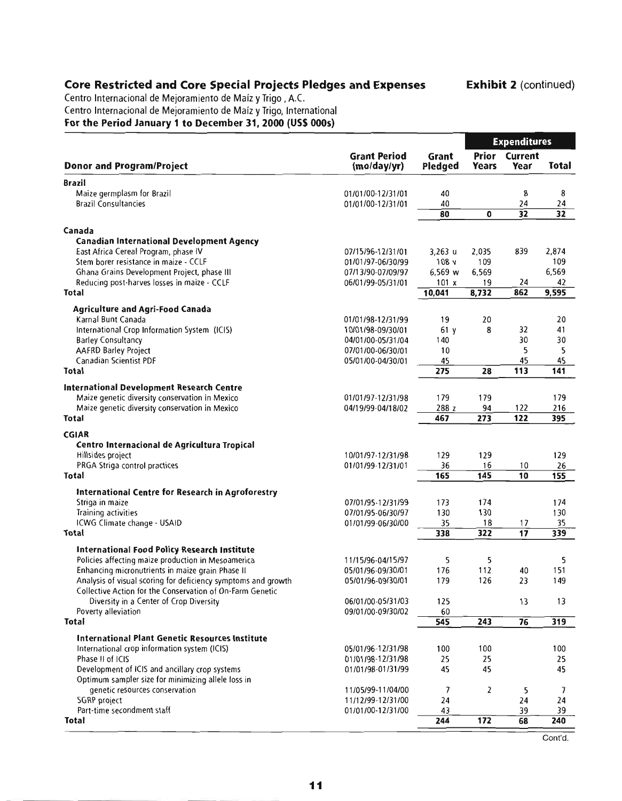Centro Internacional de Mejoramiento de Maiz y Trigo, A.C. Centro Internacional de Mejoramiento de Maiz y Trigo, International **For the Period January 1 to December 31, 2000 (US\$ 0005)** 

| Prior<br><b>Current</b><br><b>Grant Period</b><br>Grant<br>Total<br><b>Years</b><br>Year<br>(mo/day/yr)<br>Pledged<br>8<br>8<br>Maize germplasm for Brazil<br>01/01/00-12/31/01<br>40<br><b>Brazil Consultancies</b><br>24<br>24<br>01/01/00-12/31/01<br>40<br>32<br>32<br>80<br>O<br><b>Canadian International Development Agency</b><br>839<br>2,874<br>East Africa Cereal Program, phase IV<br>$3,263$ u<br>2,035<br>07/15/96-12/31/01<br>109<br>108 <sub>v</sub><br>109<br>Stem borer resistance in maize - CCLF<br>01/01/97-06/30/99<br>6,569<br>6,569<br>Ghana Grains Development Project, phase III<br>07/13/90-07/09/97<br>6,569 w<br>42<br>Reducing post-harves losses in maize - CCLF<br>19<br>06/01/99-05/31/01<br>101 x<br>24<br>9,595<br>8,732<br>862<br><b>Total</b><br>10,041<br><b>Agriculture and Agri-Food Canada</b><br>20<br>Karnal Bunt Canada<br>20<br>19<br>01/01/98-12/31/99<br>8<br>32<br>41<br>International Crop Information System (ICIS)<br>10/01/98-09/30/01<br>61y<br>30<br>30<br>04/01/00-05/31/04<br>140<br><b>Barley Consultancy</b><br>5<br>5<br><b>AAFRD Barley Project</b><br>07/01/00-06/30/01<br>10<br>45<br>45<br>Canadian Scientist PDF<br>05/01/00-04/30/01<br>45<br>113<br>141<br>275<br>28<br><b>Total</b><br><b>International Development Research Centre</b><br>179<br>179<br>179<br>Maize genetic diversity conservation in Mexico<br>01/01/97-12/31/98<br>94<br>216<br>04/19/99-04/18/02<br>288 z<br>122<br>Maize genetic diversity conservation in Mexico<br>467<br>273<br>122<br>395<br><b>Total</b><br>Centro Internacional de Agricultura Tropical<br>129<br>129<br>129<br>Hillsides project<br>10/01/97-12/31/98<br>01/01/99-12/31/01<br>36<br>16<br>10<br>26<br>PRGA Striga control practices<br>10<br><b>Total</b><br>165<br>145<br>155<br>International Centre for Research in Agroforestry<br>174<br>174<br>07/01/95-12/31/99<br>173<br>Striga in maize<br>130<br>130<br>130<br>Training activities<br>07/01/95-06/30/97<br>35<br>18<br>35<br>17<br>ICWG Climate change - USAID<br>01/01/99-06/30/00<br>338<br>322<br>17<br>339<br><b>Total</b><br><b>International Food Policy Research Institute</b><br>5<br>5<br>Policies affecting maize production in Mesoamerica<br>5<br>11/15/96-04/15/97<br>176<br>112<br>151<br>Enhancing micronutrients in maize grain Phase II<br>05/01/96-09/30/01<br>40<br>126<br>23<br>Analysis of visual scoring for deficiency symptoms and growth<br>05/01/96-09/30/01<br>179<br>149<br>Collective Action for the Conservation of On-Farm Genetic<br>06/01/00-05/31/03<br>125<br>13<br>13<br>Diversity in a Center of Crop Diversity<br>Poverty alleviation<br>09/01/00-09/30/02<br>60<br>545<br>243<br>76<br>319<br><b>International Plant Genetic Resources Institute</b><br>100<br>05/01/96-12/31/98<br>100<br>100<br>International crop information system (ICIS)<br>25<br>25<br>Phase II of ICIS<br>01/01/98-12/31/98<br>25<br>Development of ICIS and ancillary crop systems<br>45<br>45<br>45<br>01/01/98-01/31/99<br>Optimum sampler size for minimizing allele loss in<br>7<br>2<br>5<br>genetic resources conservation<br>11/05/99-11/04/00<br>7<br>24<br>24<br>24<br>SGRP project<br>11/12/99-12/31/00<br>Part-time secondment staff<br>43<br>39<br>39<br>01/01/00-12/31/00<br>172<br>244<br>68<br>240<br>Total |                                  |  | <b>Expenditures</b> |  |
|----------------------------------------------------------------------------------------------------------------------------------------------------------------------------------------------------------------------------------------------------------------------------------------------------------------------------------------------------------------------------------------------------------------------------------------------------------------------------------------------------------------------------------------------------------------------------------------------------------------------------------------------------------------------------------------------------------------------------------------------------------------------------------------------------------------------------------------------------------------------------------------------------------------------------------------------------------------------------------------------------------------------------------------------------------------------------------------------------------------------------------------------------------------------------------------------------------------------------------------------------------------------------------------------------------------------------------------------------------------------------------------------------------------------------------------------------------------------------------------------------------------------------------------------------------------------------------------------------------------------------------------------------------------------------------------------------------------------------------------------------------------------------------------------------------------------------------------------------------------------------------------------------------------------------------------------------------------------------------------------------------------------------------------------------------------------------------------------------------------------------------------------------------------------------------------------------------------------------------------------------------------------------------------------------------------------------------------------------------------------------------------------------------------------------------------------------------------------------------------------------------------------------------------------------------------------------------------------------------------------------------------------------------------------------------------------------------------------------------------------------------------------------------------------------------------------------------------------------------------------------------------------------------------------------------------------------------------------------------------------------------------------------------------------------------------------------------------------------------------------------------------------------------------------------------------------------------------------------------------------------------------------------------------------------------------------|----------------------------------|--|---------------------|--|
|                                                                                                                                                                                                                                                                                                                                                                                                                                                                                                                                                                                                                                                                                                                                                                                                                                                                                                                                                                                                                                                                                                                                                                                                                                                                                                                                                                                                                                                                                                                                                                                                                                                                                                                                                                                                                                                                                                                                                                                                                                                                                                                                                                                                                                                                                                                                                                                                                                                                                                                                                                                                                                                                                                                                                                                                                                                                                                                                                                                                                                                                                                                                                                                                                                                                                                                      | <b>Donor and Program/Project</b> |  |                     |  |
|                                                                                                                                                                                                                                                                                                                                                                                                                                                                                                                                                                                                                                                                                                                                                                                                                                                                                                                                                                                                                                                                                                                                                                                                                                                                                                                                                                                                                                                                                                                                                                                                                                                                                                                                                                                                                                                                                                                                                                                                                                                                                                                                                                                                                                                                                                                                                                                                                                                                                                                                                                                                                                                                                                                                                                                                                                                                                                                                                                                                                                                                                                                                                                                                                                                                                                                      | Brazil                           |  |                     |  |
|                                                                                                                                                                                                                                                                                                                                                                                                                                                                                                                                                                                                                                                                                                                                                                                                                                                                                                                                                                                                                                                                                                                                                                                                                                                                                                                                                                                                                                                                                                                                                                                                                                                                                                                                                                                                                                                                                                                                                                                                                                                                                                                                                                                                                                                                                                                                                                                                                                                                                                                                                                                                                                                                                                                                                                                                                                                                                                                                                                                                                                                                                                                                                                                                                                                                                                                      |                                  |  |                     |  |
|                                                                                                                                                                                                                                                                                                                                                                                                                                                                                                                                                                                                                                                                                                                                                                                                                                                                                                                                                                                                                                                                                                                                                                                                                                                                                                                                                                                                                                                                                                                                                                                                                                                                                                                                                                                                                                                                                                                                                                                                                                                                                                                                                                                                                                                                                                                                                                                                                                                                                                                                                                                                                                                                                                                                                                                                                                                                                                                                                                                                                                                                                                                                                                                                                                                                                                                      |                                  |  |                     |  |
|                                                                                                                                                                                                                                                                                                                                                                                                                                                                                                                                                                                                                                                                                                                                                                                                                                                                                                                                                                                                                                                                                                                                                                                                                                                                                                                                                                                                                                                                                                                                                                                                                                                                                                                                                                                                                                                                                                                                                                                                                                                                                                                                                                                                                                                                                                                                                                                                                                                                                                                                                                                                                                                                                                                                                                                                                                                                                                                                                                                                                                                                                                                                                                                                                                                                                                                      |                                  |  |                     |  |
|                                                                                                                                                                                                                                                                                                                                                                                                                                                                                                                                                                                                                                                                                                                                                                                                                                                                                                                                                                                                                                                                                                                                                                                                                                                                                                                                                                                                                                                                                                                                                                                                                                                                                                                                                                                                                                                                                                                                                                                                                                                                                                                                                                                                                                                                                                                                                                                                                                                                                                                                                                                                                                                                                                                                                                                                                                                                                                                                                                                                                                                                                                                                                                                                                                                                                                                      | Canada                           |  |                     |  |
|                                                                                                                                                                                                                                                                                                                                                                                                                                                                                                                                                                                                                                                                                                                                                                                                                                                                                                                                                                                                                                                                                                                                                                                                                                                                                                                                                                                                                                                                                                                                                                                                                                                                                                                                                                                                                                                                                                                                                                                                                                                                                                                                                                                                                                                                                                                                                                                                                                                                                                                                                                                                                                                                                                                                                                                                                                                                                                                                                                                                                                                                                                                                                                                                                                                                                                                      |                                  |  |                     |  |
|                                                                                                                                                                                                                                                                                                                                                                                                                                                                                                                                                                                                                                                                                                                                                                                                                                                                                                                                                                                                                                                                                                                                                                                                                                                                                                                                                                                                                                                                                                                                                                                                                                                                                                                                                                                                                                                                                                                                                                                                                                                                                                                                                                                                                                                                                                                                                                                                                                                                                                                                                                                                                                                                                                                                                                                                                                                                                                                                                                                                                                                                                                                                                                                                                                                                                                                      |                                  |  |                     |  |
|                                                                                                                                                                                                                                                                                                                                                                                                                                                                                                                                                                                                                                                                                                                                                                                                                                                                                                                                                                                                                                                                                                                                                                                                                                                                                                                                                                                                                                                                                                                                                                                                                                                                                                                                                                                                                                                                                                                                                                                                                                                                                                                                                                                                                                                                                                                                                                                                                                                                                                                                                                                                                                                                                                                                                                                                                                                                                                                                                                                                                                                                                                                                                                                                                                                                                                                      |                                  |  |                     |  |
|                                                                                                                                                                                                                                                                                                                                                                                                                                                                                                                                                                                                                                                                                                                                                                                                                                                                                                                                                                                                                                                                                                                                                                                                                                                                                                                                                                                                                                                                                                                                                                                                                                                                                                                                                                                                                                                                                                                                                                                                                                                                                                                                                                                                                                                                                                                                                                                                                                                                                                                                                                                                                                                                                                                                                                                                                                                                                                                                                                                                                                                                                                                                                                                                                                                                                                                      |                                  |  |                     |  |
|                                                                                                                                                                                                                                                                                                                                                                                                                                                                                                                                                                                                                                                                                                                                                                                                                                                                                                                                                                                                                                                                                                                                                                                                                                                                                                                                                                                                                                                                                                                                                                                                                                                                                                                                                                                                                                                                                                                                                                                                                                                                                                                                                                                                                                                                                                                                                                                                                                                                                                                                                                                                                                                                                                                                                                                                                                                                                                                                                                                                                                                                                                                                                                                                                                                                                                                      |                                  |  |                     |  |
|                                                                                                                                                                                                                                                                                                                                                                                                                                                                                                                                                                                                                                                                                                                                                                                                                                                                                                                                                                                                                                                                                                                                                                                                                                                                                                                                                                                                                                                                                                                                                                                                                                                                                                                                                                                                                                                                                                                                                                                                                                                                                                                                                                                                                                                                                                                                                                                                                                                                                                                                                                                                                                                                                                                                                                                                                                                                                                                                                                                                                                                                                                                                                                                                                                                                                                                      |                                  |  |                     |  |
|                                                                                                                                                                                                                                                                                                                                                                                                                                                                                                                                                                                                                                                                                                                                                                                                                                                                                                                                                                                                                                                                                                                                                                                                                                                                                                                                                                                                                                                                                                                                                                                                                                                                                                                                                                                                                                                                                                                                                                                                                                                                                                                                                                                                                                                                                                                                                                                                                                                                                                                                                                                                                                                                                                                                                                                                                                                                                                                                                                                                                                                                                                                                                                                                                                                                                                                      |                                  |  |                     |  |
|                                                                                                                                                                                                                                                                                                                                                                                                                                                                                                                                                                                                                                                                                                                                                                                                                                                                                                                                                                                                                                                                                                                                                                                                                                                                                                                                                                                                                                                                                                                                                                                                                                                                                                                                                                                                                                                                                                                                                                                                                                                                                                                                                                                                                                                                                                                                                                                                                                                                                                                                                                                                                                                                                                                                                                                                                                                                                                                                                                                                                                                                                                                                                                                                                                                                                                                      |                                  |  |                     |  |
|                                                                                                                                                                                                                                                                                                                                                                                                                                                                                                                                                                                                                                                                                                                                                                                                                                                                                                                                                                                                                                                                                                                                                                                                                                                                                                                                                                                                                                                                                                                                                                                                                                                                                                                                                                                                                                                                                                                                                                                                                                                                                                                                                                                                                                                                                                                                                                                                                                                                                                                                                                                                                                                                                                                                                                                                                                                                                                                                                                                                                                                                                                                                                                                                                                                                                                                      |                                  |  |                     |  |
|                                                                                                                                                                                                                                                                                                                                                                                                                                                                                                                                                                                                                                                                                                                                                                                                                                                                                                                                                                                                                                                                                                                                                                                                                                                                                                                                                                                                                                                                                                                                                                                                                                                                                                                                                                                                                                                                                                                                                                                                                                                                                                                                                                                                                                                                                                                                                                                                                                                                                                                                                                                                                                                                                                                                                                                                                                                                                                                                                                                                                                                                                                                                                                                                                                                                                                                      |                                  |  |                     |  |
|                                                                                                                                                                                                                                                                                                                                                                                                                                                                                                                                                                                                                                                                                                                                                                                                                                                                                                                                                                                                                                                                                                                                                                                                                                                                                                                                                                                                                                                                                                                                                                                                                                                                                                                                                                                                                                                                                                                                                                                                                                                                                                                                                                                                                                                                                                                                                                                                                                                                                                                                                                                                                                                                                                                                                                                                                                                                                                                                                                                                                                                                                                                                                                                                                                                                                                                      |                                  |  |                     |  |
|                                                                                                                                                                                                                                                                                                                                                                                                                                                                                                                                                                                                                                                                                                                                                                                                                                                                                                                                                                                                                                                                                                                                                                                                                                                                                                                                                                                                                                                                                                                                                                                                                                                                                                                                                                                                                                                                                                                                                                                                                                                                                                                                                                                                                                                                                                                                                                                                                                                                                                                                                                                                                                                                                                                                                                                                                                                                                                                                                                                                                                                                                                                                                                                                                                                                                                                      |                                  |  |                     |  |
|                                                                                                                                                                                                                                                                                                                                                                                                                                                                                                                                                                                                                                                                                                                                                                                                                                                                                                                                                                                                                                                                                                                                                                                                                                                                                                                                                                                                                                                                                                                                                                                                                                                                                                                                                                                                                                                                                                                                                                                                                                                                                                                                                                                                                                                                                                                                                                                                                                                                                                                                                                                                                                                                                                                                                                                                                                                                                                                                                                                                                                                                                                                                                                                                                                                                                                                      |                                  |  |                     |  |
|                                                                                                                                                                                                                                                                                                                                                                                                                                                                                                                                                                                                                                                                                                                                                                                                                                                                                                                                                                                                                                                                                                                                                                                                                                                                                                                                                                                                                                                                                                                                                                                                                                                                                                                                                                                                                                                                                                                                                                                                                                                                                                                                                                                                                                                                                                                                                                                                                                                                                                                                                                                                                                                                                                                                                                                                                                                                                                                                                                                                                                                                                                                                                                                                                                                                                                                      |                                  |  |                     |  |
|                                                                                                                                                                                                                                                                                                                                                                                                                                                                                                                                                                                                                                                                                                                                                                                                                                                                                                                                                                                                                                                                                                                                                                                                                                                                                                                                                                                                                                                                                                                                                                                                                                                                                                                                                                                                                                                                                                                                                                                                                                                                                                                                                                                                                                                                                                                                                                                                                                                                                                                                                                                                                                                                                                                                                                                                                                                                                                                                                                                                                                                                                                                                                                                                                                                                                                                      |                                  |  |                     |  |
|                                                                                                                                                                                                                                                                                                                                                                                                                                                                                                                                                                                                                                                                                                                                                                                                                                                                                                                                                                                                                                                                                                                                                                                                                                                                                                                                                                                                                                                                                                                                                                                                                                                                                                                                                                                                                                                                                                                                                                                                                                                                                                                                                                                                                                                                                                                                                                                                                                                                                                                                                                                                                                                                                                                                                                                                                                                                                                                                                                                                                                                                                                                                                                                                                                                                                                                      |                                  |  |                     |  |
|                                                                                                                                                                                                                                                                                                                                                                                                                                                                                                                                                                                                                                                                                                                                                                                                                                                                                                                                                                                                                                                                                                                                                                                                                                                                                                                                                                                                                                                                                                                                                                                                                                                                                                                                                                                                                                                                                                                                                                                                                                                                                                                                                                                                                                                                                                                                                                                                                                                                                                                                                                                                                                                                                                                                                                                                                                                                                                                                                                                                                                                                                                                                                                                                                                                                                                                      |                                  |  |                     |  |
|                                                                                                                                                                                                                                                                                                                                                                                                                                                                                                                                                                                                                                                                                                                                                                                                                                                                                                                                                                                                                                                                                                                                                                                                                                                                                                                                                                                                                                                                                                                                                                                                                                                                                                                                                                                                                                                                                                                                                                                                                                                                                                                                                                                                                                                                                                                                                                                                                                                                                                                                                                                                                                                                                                                                                                                                                                                                                                                                                                                                                                                                                                                                                                                                                                                                                                                      | <b>CGIAR</b>                     |  |                     |  |
|                                                                                                                                                                                                                                                                                                                                                                                                                                                                                                                                                                                                                                                                                                                                                                                                                                                                                                                                                                                                                                                                                                                                                                                                                                                                                                                                                                                                                                                                                                                                                                                                                                                                                                                                                                                                                                                                                                                                                                                                                                                                                                                                                                                                                                                                                                                                                                                                                                                                                                                                                                                                                                                                                                                                                                                                                                                                                                                                                                                                                                                                                                                                                                                                                                                                                                                      |                                  |  |                     |  |
|                                                                                                                                                                                                                                                                                                                                                                                                                                                                                                                                                                                                                                                                                                                                                                                                                                                                                                                                                                                                                                                                                                                                                                                                                                                                                                                                                                                                                                                                                                                                                                                                                                                                                                                                                                                                                                                                                                                                                                                                                                                                                                                                                                                                                                                                                                                                                                                                                                                                                                                                                                                                                                                                                                                                                                                                                                                                                                                                                                                                                                                                                                                                                                                                                                                                                                                      |                                  |  |                     |  |
|                                                                                                                                                                                                                                                                                                                                                                                                                                                                                                                                                                                                                                                                                                                                                                                                                                                                                                                                                                                                                                                                                                                                                                                                                                                                                                                                                                                                                                                                                                                                                                                                                                                                                                                                                                                                                                                                                                                                                                                                                                                                                                                                                                                                                                                                                                                                                                                                                                                                                                                                                                                                                                                                                                                                                                                                                                                                                                                                                                                                                                                                                                                                                                                                                                                                                                                      |                                  |  |                     |  |
|                                                                                                                                                                                                                                                                                                                                                                                                                                                                                                                                                                                                                                                                                                                                                                                                                                                                                                                                                                                                                                                                                                                                                                                                                                                                                                                                                                                                                                                                                                                                                                                                                                                                                                                                                                                                                                                                                                                                                                                                                                                                                                                                                                                                                                                                                                                                                                                                                                                                                                                                                                                                                                                                                                                                                                                                                                                                                                                                                                                                                                                                                                                                                                                                                                                                                                                      |                                  |  |                     |  |
|                                                                                                                                                                                                                                                                                                                                                                                                                                                                                                                                                                                                                                                                                                                                                                                                                                                                                                                                                                                                                                                                                                                                                                                                                                                                                                                                                                                                                                                                                                                                                                                                                                                                                                                                                                                                                                                                                                                                                                                                                                                                                                                                                                                                                                                                                                                                                                                                                                                                                                                                                                                                                                                                                                                                                                                                                                                                                                                                                                                                                                                                                                                                                                                                                                                                                                                      |                                  |  |                     |  |
|                                                                                                                                                                                                                                                                                                                                                                                                                                                                                                                                                                                                                                                                                                                                                                                                                                                                                                                                                                                                                                                                                                                                                                                                                                                                                                                                                                                                                                                                                                                                                                                                                                                                                                                                                                                                                                                                                                                                                                                                                                                                                                                                                                                                                                                                                                                                                                                                                                                                                                                                                                                                                                                                                                                                                                                                                                                                                                                                                                                                                                                                                                                                                                                                                                                                                                                      |                                  |  |                     |  |
|                                                                                                                                                                                                                                                                                                                                                                                                                                                                                                                                                                                                                                                                                                                                                                                                                                                                                                                                                                                                                                                                                                                                                                                                                                                                                                                                                                                                                                                                                                                                                                                                                                                                                                                                                                                                                                                                                                                                                                                                                                                                                                                                                                                                                                                                                                                                                                                                                                                                                                                                                                                                                                                                                                                                                                                                                                                                                                                                                                                                                                                                                                                                                                                                                                                                                                                      |                                  |  |                     |  |
|                                                                                                                                                                                                                                                                                                                                                                                                                                                                                                                                                                                                                                                                                                                                                                                                                                                                                                                                                                                                                                                                                                                                                                                                                                                                                                                                                                                                                                                                                                                                                                                                                                                                                                                                                                                                                                                                                                                                                                                                                                                                                                                                                                                                                                                                                                                                                                                                                                                                                                                                                                                                                                                                                                                                                                                                                                                                                                                                                                                                                                                                                                                                                                                                                                                                                                                      |                                  |  |                     |  |
|                                                                                                                                                                                                                                                                                                                                                                                                                                                                                                                                                                                                                                                                                                                                                                                                                                                                                                                                                                                                                                                                                                                                                                                                                                                                                                                                                                                                                                                                                                                                                                                                                                                                                                                                                                                                                                                                                                                                                                                                                                                                                                                                                                                                                                                                                                                                                                                                                                                                                                                                                                                                                                                                                                                                                                                                                                                                                                                                                                                                                                                                                                                                                                                                                                                                                                                      |                                  |  |                     |  |
|                                                                                                                                                                                                                                                                                                                                                                                                                                                                                                                                                                                                                                                                                                                                                                                                                                                                                                                                                                                                                                                                                                                                                                                                                                                                                                                                                                                                                                                                                                                                                                                                                                                                                                                                                                                                                                                                                                                                                                                                                                                                                                                                                                                                                                                                                                                                                                                                                                                                                                                                                                                                                                                                                                                                                                                                                                                                                                                                                                                                                                                                                                                                                                                                                                                                                                                      |                                  |  |                     |  |
|                                                                                                                                                                                                                                                                                                                                                                                                                                                                                                                                                                                                                                                                                                                                                                                                                                                                                                                                                                                                                                                                                                                                                                                                                                                                                                                                                                                                                                                                                                                                                                                                                                                                                                                                                                                                                                                                                                                                                                                                                                                                                                                                                                                                                                                                                                                                                                                                                                                                                                                                                                                                                                                                                                                                                                                                                                                                                                                                                                                                                                                                                                                                                                                                                                                                                                                      |                                  |  |                     |  |
|                                                                                                                                                                                                                                                                                                                                                                                                                                                                                                                                                                                                                                                                                                                                                                                                                                                                                                                                                                                                                                                                                                                                                                                                                                                                                                                                                                                                                                                                                                                                                                                                                                                                                                                                                                                                                                                                                                                                                                                                                                                                                                                                                                                                                                                                                                                                                                                                                                                                                                                                                                                                                                                                                                                                                                                                                                                                                                                                                                                                                                                                                                                                                                                                                                                                                                                      |                                  |  |                     |  |
|                                                                                                                                                                                                                                                                                                                                                                                                                                                                                                                                                                                                                                                                                                                                                                                                                                                                                                                                                                                                                                                                                                                                                                                                                                                                                                                                                                                                                                                                                                                                                                                                                                                                                                                                                                                                                                                                                                                                                                                                                                                                                                                                                                                                                                                                                                                                                                                                                                                                                                                                                                                                                                                                                                                                                                                                                                                                                                                                                                                                                                                                                                                                                                                                                                                                                                                      |                                  |  |                     |  |
|                                                                                                                                                                                                                                                                                                                                                                                                                                                                                                                                                                                                                                                                                                                                                                                                                                                                                                                                                                                                                                                                                                                                                                                                                                                                                                                                                                                                                                                                                                                                                                                                                                                                                                                                                                                                                                                                                                                                                                                                                                                                                                                                                                                                                                                                                                                                                                                                                                                                                                                                                                                                                                                                                                                                                                                                                                                                                                                                                                                                                                                                                                                                                                                                                                                                                                                      |                                  |  |                     |  |
|                                                                                                                                                                                                                                                                                                                                                                                                                                                                                                                                                                                                                                                                                                                                                                                                                                                                                                                                                                                                                                                                                                                                                                                                                                                                                                                                                                                                                                                                                                                                                                                                                                                                                                                                                                                                                                                                                                                                                                                                                                                                                                                                                                                                                                                                                                                                                                                                                                                                                                                                                                                                                                                                                                                                                                                                                                                                                                                                                                                                                                                                                                                                                                                                                                                                                                                      |                                  |  |                     |  |
|                                                                                                                                                                                                                                                                                                                                                                                                                                                                                                                                                                                                                                                                                                                                                                                                                                                                                                                                                                                                                                                                                                                                                                                                                                                                                                                                                                                                                                                                                                                                                                                                                                                                                                                                                                                                                                                                                                                                                                                                                                                                                                                                                                                                                                                                                                                                                                                                                                                                                                                                                                                                                                                                                                                                                                                                                                                                                                                                                                                                                                                                                                                                                                                                                                                                                                                      | <b>Total</b>                     |  |                     |  |
|                                                                                                                                                                                                                                                                                                                                                                                                                                                                                                                                                                                                                                                                                                                                                                                                                                                                                                                                                                                                                                                                                                                                                                                                                                                                                                                                                                                                                                                                                                                                                                                                                                                                                                                                                                                                                                                                                                                                                                                                                                                                                                                                                                                                                                                                                                                                                                                                                                                                                                                                                                                                                                                                                                                                                                                                                                                                                                                                                                                                                                                                                                                                                                                                                                                                                                                      |                                  |  |                     |  |
|                                                                                                                                                                                                                                                                                                                                                                                                                                                                                                                                                                                                                                                                                                                                                                                                                                                                                                                                                                                                                                                                                                                                                                                                                                                                                                                                                                                                                                                                                                                                                                                                                                                                                                                                                                                                                                                                                                                                                                                                                                                                                                                                                                                                                                                                                                                                                                                                                                                                                                                                                                                                                                                                                                                                                                                                                                                                                                                                                                                                                                                                                                                                                                                                                                                                                                                      |                                  |  |                     |  |
|                                                                                                                                                                                                                                                                                                                                                                                                                                                                                                                                                                                                                                                                                                                                                                                                                                                                                                                                                                                                                                                                                                                                                                                                                                                                                                                                                                                                                                                                                                                                                                                                                                                                                                                                                                                                                                                                                                                                                                                                                                                                                                                                                                                                                                                                                                                                                                                                                                                                                                                                                                                                                                                                                                                                                                                                                                                                                                                                                                                                                                                                                                                                                                                                                                                                                                                      |                                  |  |                     |  |
|                                                                                                                                                                                                                                                                                                                                                                                                                                                                                                                                                                                                                                                                                                                                                                                                                                                                                                                                                                                                                                                                                                                                                                                                                                                                                                                                                                                                                                                                                                                                                                                                                                                                                                                                                                                                                                                                                                                                                                                                                                                                                                                                                                                                                                                                                                                                                                                                                                                                                                                                                                                                                                                                                                                                                                                                                                                                                                                                                                                                                                                                                                                                                                                                                                                                                                                      |                                  |  |                     |  |
|                                                                                                                                                                                                                                                                                                                                                                                                                                                                                                                                                                                                                                                                                                                                                                                                                                                                                                                                                                                                                                                                                                                                                                                                                                                                                                                                                                                                                                                                                                                                                                                                                                                                                                                                                                                                                                                                                                                                                                                                                                                                                                                                                                                                                                                                                                                                                                                                                                                                                                                                                                                                                                                                                                                                                                                                                                                                                                                                                                                                                                                                                                                                                                                                                                                                                                                      |                                  |  |                     |  |
|                                                                                                                                                                                                                                                                                                                                                                                                                                                                                                                                                                                                                                                                                                                                                                                                                                                                                                                                                                                                                                                                                                                                                                                                                                                                                                                                                                                                                                                                                                                                                                                                                                                                                                                                                                                                                                                                                                                                                                                                                                                                                                                                                                                                                                                                                                                                                                                                                                                                                                                                                                                                                                                                                                                                                                                                                                                                                                                                                                                                                                                                                                                                                                                                                                                                                                                      |                                  |  |                     |  |
|                                                                                                                                                                                                                                                                                                                                                                                                                                                                                                                                                                                                                                                                                                                                                                                                                                                                                                                                                                                                                                                                                                                                                                                                                                                                                                                                                                                                                                                                                                                                                                                                                                                                                                                                                                                                                                                                                                                                                                                                                                                                                                                                                                                                                                                                                                                                                                                                                                                                                                                                                                                                                                                                                                                                                                                                                                                                                                                                                                                                                                                                                                                                                                                                                                                                                                                      |                                  |  |                     |  |
|                                                                                                                                                                                                                                                                                                                                                                                                                                                                                                                                                                                                                                                                                                                                                                                                                                                                                                                                                                                                                                                                                                                                                                                                                                                                                                                                                                                                                                                                                                                                                                                                                                                                                                                                                                                                                                                                                                                                                                                                                                                                                                                                                                                                                                                                                                                                                                                                                                                                                                                                                                                                                                                                                                                                                                                                                                                                                                                                                                                                                                                                                                                                                                                                                                                                                                                      |                                  |  |                     |  |
|                                                                                                                                                                                                                                                                                                                                                                                                                                                                                                                                                                                                                                                                                                                                                                                                                                                                                                                                                                                                                                                                                                                                                                                                                                                                                                                                                                                                                                                                                                                                                                                                                                                                                                                                                                                                                                                                                                                                                                                                                                                                                                                                                                                                                                                                                                                                                                                                                                                                                                                                                                                                                                                                                                                                                                                                                                                                                                                                                                                                                                                                                                                                                                                                                                                                                                                      |                                  |  |                     |  |

Cont'd.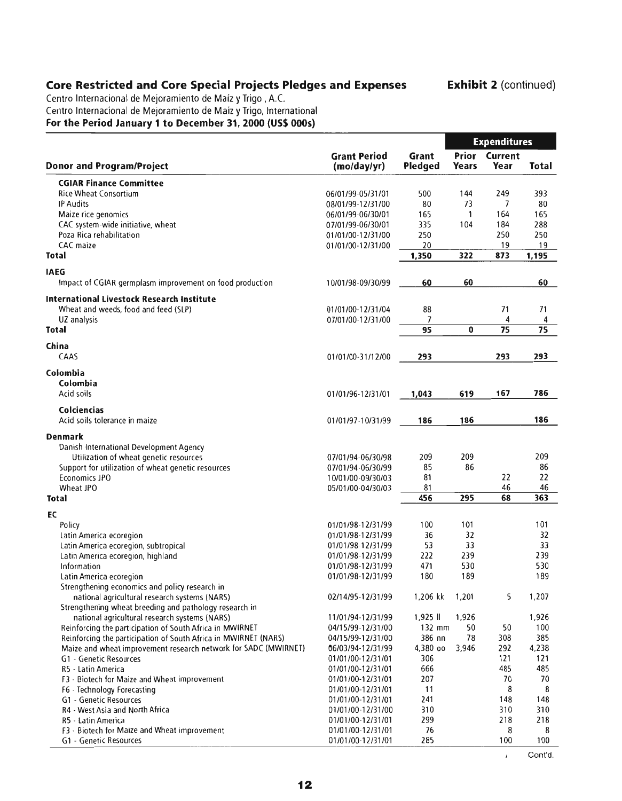Centro Internacional de Mejoramiento de Maíz y Trigo , A.C.<br>Centro Internacional de Mejoramiento de Maíz y Trigo, International<br>**For the Period January 1 to December 31, 2000 (US\$ 000s)** 

|                                                                                                           |                                        |                    |                | <b>Expenditures</b>    |              |
|-----------------------------------------------------------------------------------------------------------|----------------------------------------|--------------------|----------------|------------------------|--------------|
| <b>Donor and Program/Project</b>                                                                          | <b>Grant Period</b><br>(moday/yr)      | Grant<br>Pledged   | Prior<br>Years | <b>Current</b><br>Year | <b>Total</b> |
| <b>CGIAR Finance Committee</b>                                                                            |                                        |                    |                |                        |              |
| <b>Rice Wheat Consortium</b>                                                                              | 06/01/99-05/31/01                      | 500                | 144            | 249                    | 393          |
| <b>IP Audits</b>                                                                                          | 08/01/99-12/31/00                      | 80                 | 73             | 7                      | 80           |
| Maize rice genomics                                                                                       | 06/01/99-06/30/01                      | 165                | 1              | 164                    | 165          |
| CAC system-wide initiative, wheat                                                                         | 07/01/99-06/30/01                      | 335                | 104            | 184                    | 288          |
| Poza Rica rehabilitation                                                                                  | 01/01/00-12/31/00                      | 250                |                | 250                    | 250          |
| CAC maize                                                                                                 | 01/01/00-12/31/00                      | 20                 |                | 19                     | 19           |
| Total                                                                                                     |                                        | 1,350              | 322            | 873                    | 1,195        |
| <b>IAEG</b>                                                                                               |                                        |                    |                |                        |              |
| Impact of CGIAR germplasm improvement on food production                                                  | 10/01/98-09/30/99                      | 60                 | 60             |                        | 60           |
| <b>International Livestock Research Institute</b>                                                         |                                        |                    |                |                        |              |
| Wheat and weeds, food and feed (SLP)                                                                      | 01/01/00-12/31/04                      | 88                 |                | 71                     | 71           |
| UZ analysis                                                                                               | 07/01/00-12/31/00                      | 7                  |                | 4                      | 4            |
| Total                                                                                                     |                                        | 95                 | 0              | 75                     | 75           |
| China                                                                                                     |                                        |                    |                |                        |              |
| CAAS                                                                                                      | 01/01/00-31/12/00                      | 293                |                | 293                    | 293          |
| Colombia                                                                                                  |                                        |                    |                |                        |              |
| Colombia                                                                                                  |                                        |                    |                |                        |              |
| Acid soils                                                                                                | 01/01/96-12/31/01                      | 1,043              | 619            | 167                    | 786          |
| <b>Colciencias</b>                                                                                        |                                        |                    |                |                        |              |
| Acid soils tolerance in maize                                                                             | 01/01/97-10/31/99                      | 186                | 186            |                        | 186          |
| Denmark                                                                                                   |                                        |                    |                |                        |              |
| Danish International Development Agency                                                                   |                                        |                    |                |                        |              |
| Utilization of wheat genetic resources                                                                    | 07/01/94-06/30/98                      | 209                | 209            |                        | 209          |
| Support for utilization of wheat genetic resources                                                        | 07/01/94-06/30/99                      | 85                 | 86             |                        | 86           |
| Economics JPO                                                                                             | 10/01/00-09/30/03                      | 81                 |                | 22                     | 22           |
| Wheat JPO                                                                                                 | 05/01/00-04/30/03                      | 81                 |                | 46                     | 46           |
| <b>Total</b>                                                                                              |                                        | 456                | 295            | 68                     | 363          |
| EC                                                                                                        |                                        |                    |                |                        |              |
| Policy                                                                                                    | 01/01/98-12/31/99                      | 100                | 101            |                        | 101          |
| Latin America ecoregion                                                                                   | 01/01/98-12/31/99                      | 36                 | 32             |                        | 32           |
| Latin America ecoregion, subtropical                                                                      | 01/01/98-12/31/99                      | 53                 | 33             |                        | 33           |
| Latin America ecoregion, highland                                                                         | 01/01/98-12/31/99                      | 222                | 239            |                        | 239          |
| Information                                                                                               | 01/01/98-12/31/99                      | 471                | 530            |                        | 530          |
| Latin America ecoregion                                                                                   | 01/01/98-12/31/99                      | 180                | 189            |                        | 189          |
| Strengthening economics and policy research in                                                            |                                        |                    |                |                        |              |
| national agricultural research systems (NARS)                                                             | 02/14/95-12/31/99                      | 1,206 kk           | 1,201          | 5                      | 1,207        |
| Strengthening wheat breeding and pathology research in                                                    |                                        |                    |                |                        |              |
| national agricultural research systems (NARS)<br>Reinforcing the participation of South Africa in MWIRNET | 11/01/94-12/31/99                      | 1,925   <br>132 mm | 1,926          |                        | 1,926<br>100 |
| Reinforcing the participation of South Africa in MWIRNET (NARS)                                           | 04/15/99-12/31/00<br>04/15/99-12/31/00 | 386 nn             | 50<br>78       | 50<br>308              | 385          |
| Maize and wheat improvement research network for SADC (MWIRNET)                                           | 06/03/94-12/31/99                      | 4,380 oo           | 3,946          | 292                    | 4,238        |
| G1 - Genetic Resources                                                                                    | 01/01/00-12/31/01                      | 306                |                | 121                    | 121          |
| R5 - Latin America                                                                                        | 01/01/00-12/31/01                      | 666                |                | 485                    | 485          |
| F3 - Biotech for Maize and Wheat improvement                                                              | 01/01/00-12/31/01                      | 207                |                | 70                     | 70           |
| F6 - Technology Forecasting                                                                               | 01/01/00-12/31/01                      | 11                 |                | 8                      | 8            |
| G1 - Genetic Resources                                                                                    | 01/01/00-12/31/01                      | 241                |                | 148                    | 148          |
| R4 - West Asia and North Africa                                                                           | 01/01/00-12/31/00                      | 310                |                | 310                    | 310          |
| R5 - Latin America                                                                                        | 01/01/00-12/31/01                      | 299                |                | 218                    | 218          |
| F3 - Biotech for Maize and Wheat improvement                                                              | 01/01/00-12/31/01                      | 76                 |                | 8                      | 8            |
|                                                                                                           |                                        | 285                |                |                        | 100          |

Cont'd.

 $\bar{\pmb{\lambda}}$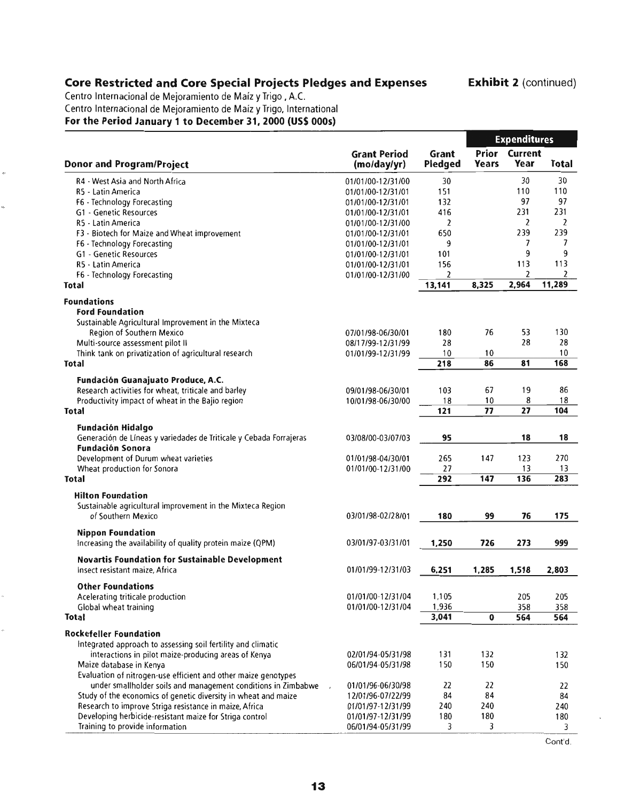Centro Internacional de Mejoramiento de Maíz y Trigo, A.C. Centro Internacional de Mejoramiento de Maíz y Trigo, International **For the Period January 1 to December 31, 2000 (USS 0005)** 

|                                                                                               |                                    |                  |                       | <b>Expenditures</b>    |              |
|-----------------------------------------------------------------------------------------------|------------------------------------|------------------|-----------------------|------------------------|--------------|
| <b>Donor and Program/Project</b>                                                              | <b>Grant Period</b><br>(mo/day/yr) | Grant<br>Pledged | Prior<br><b>Years</b> | <b>Current</b><br>Year | <b>Total</b> |
| R4 - West Asia and North Africa                                                               | 01/01/00-12/31/00                  | 30               |                       | 30                     | 30           |
| R5 - Latin America                                                                            | 01/01/00-12/31/01                  | 151              |                       | 110                    | 110          |
| F6 - Technology Forecasting                                                                   | 01/01/00-12/31/01                  | 132              |                       | 97                     | 97           |
| G1 - Genetic Resources                                                                        | 01/01/00-12/31/01                  | 416              |                       | 231                    | 231          |
| R5 - Latin America                                                                            | 01/01/00-12/31/00                  | 2                |                       | 2                      | 2            |
| F3 - Biotech for Maize and Wheat improvement                                                  | 01/01/00-12/31/01                  | 650              |                       | 239                    | 239          |
| F6 - Technology Forecasting                                                                   | 01/01/00-12/31/01                  | 9                |                       | 7                      | 7            |
| G1 - Genetic Resources                                                                        | 01/01/00-12/31/01                  | 101              |                       | 9                      | 9            |
| R5 - Latin America                                                                            | 01/01/00-12/31/01                  | 156              |                       | 113                    | 113          |
| F6 - Technology Forecasting                                                                   | 01/01/00-12/31/00                  | 2                |                       | 2                      | 2            |
| <b>Total</b>                                                                                  |                                    | 13,141           | 8,325                 | 2,964                  | 11,289       |
| <b>Foundations</b><br><b>Ford Foundation</b>                                                  |                                    |                  |                       |                        |              |
| Sustainable Agricultural Improvement in the Mixteca                                           |                                    |                  |                       |                        |              |
| Region of Southern Mexico                                                                     | 07/01/98-06/30/01                  | 180              | 76                    | 53                     | 130          |
| Multi-source assessment pilot II                                                              | 08/17/99-12/31/99                  | 28               |                       | 28                     | 28           |
| Think tank on privatization of agricultural research                                          | 01/01/99-12/31/99                  | 10               | 10                    |                        | 10           |
| <b>Total</b>                                                                                  |                                    | 218              | 86                    | 81                     | 168          |
| Fundación Guanajuato Produce, A.C.                                                            |                                    |                  |                       |                        |              |
| Research activities for wheat, triticale and barley                                           | 09/01/98-06/30/01                  | 103              | 67                    | 19                     | 86           |
| Productivity impact of wheat in the Bajio region                                              | 10/01/98-06/30/00                  | 18               | 10                    | 8                      | 18           |
| <b>Total</b>                                                                                  |                                    | 121              | 77                    | 27                     | 104          |
| <b>Fundación Hidalgo</b>                                                                      |                                    |                  |                       |                        |              |
| Generación de Líneas y variedades de Triticale y Cebada Forrajeras<br><b>Fundación Sonora</b> | 03/08/00-03/07/03                  | 95               |                       | 18                     | 18           |
| Development of Durum wheat varieties                                                          | 01/01/98-04/30/01                  | 265              | 147                   | 123                    | 270          |
| Wheat production for Sonora                                                                   | 01/01/00-12/31/00                  | 27               |                       | 13                     | 13           |
| <b>Total</b>                                                                                  |                                    | 292              | 147                   | 136                    | 283          |
| <b>Hilton Foundation</b>                                                                      |                                    |                  |                       |                        |              |
| Sustainable agricultural improvement in the Mixteca Region<br>of Southern Mexico              | 03/01/98-02/28/01                  | 180              | 99                    | 76                     | 175          |
| <b>Nippon Foundation</b><br>Increasing the availability of quality protein maize (QPM)        | 03/01/97-03/31/01                  | 1,250            | 726                   | 273                    | 999          |
|                                                                                               |                                    |                  |                       |                        |              |
| <b>Novartis Foundation for Sustainable Development</b><br>Insect resistant maize, Africa      | 01/01/99-12/31/03                  | 6,251            | 1,285                 | 1,518                  | 2,803        |
| <b>Other Foundations</b>                                                                      |                                    |                  |                       |                        |              |
| Acelerating triticale production                                                              | 01/01/00-12/31/04                  | 1,105            |                       | 205                    | 205          |
| Global wheat training                                                                         | 01/01/00-12/31/04                  | 1,936            |                       | 358                    | 358          |
| Total                                                                                         |                                    | 3,041            | 0                     | 564                    | 564          |
| <b>Rockefeller Foundation</b>                                                                 |                                    |                  |                       |                        |              |
| Integrated approach to assessing soil fertility and climatic                                  |                                    |                  |                       |                        |              |
| interactions in pilot maize-producing areas of Kenya                                          | 02/01/94-05/31/98                  | 131              | 132                   |                        | 132          |
| Maize database in Kenya                                                                       | 06/01/94-05/31/98                  | 150              | 150                   |                        | 150          |
| Evaluation of nitrogen-use efficient and other maize genotypes                                |                                    |                  |                       |                        |              |
| under smallholder soils and management conditions in Zimbabwe                                 | 01/01/96-06/30/98                  | 22               | 22                    |                        | 22           |
| Study of the economics of genetic diversity in wheat and maize                                | 12/01/96-07/22/99                  | 84               | 84                    |                        | 84           |
| Research to improve Striga resistance in maize, Africa                                        | 01/01/97-12/31/99                  | 240              | 240                   |                        | 240          |
| Developing herbicide-resistant maize for Striga control                                       | 01/01/97-12/31/99                  | 180              | 180                   |                        | 180          |
| Training to provide information                                                               | 06/01/94-05/31/99                  | 3                | 3                     |                        | 3            |

Cont'd.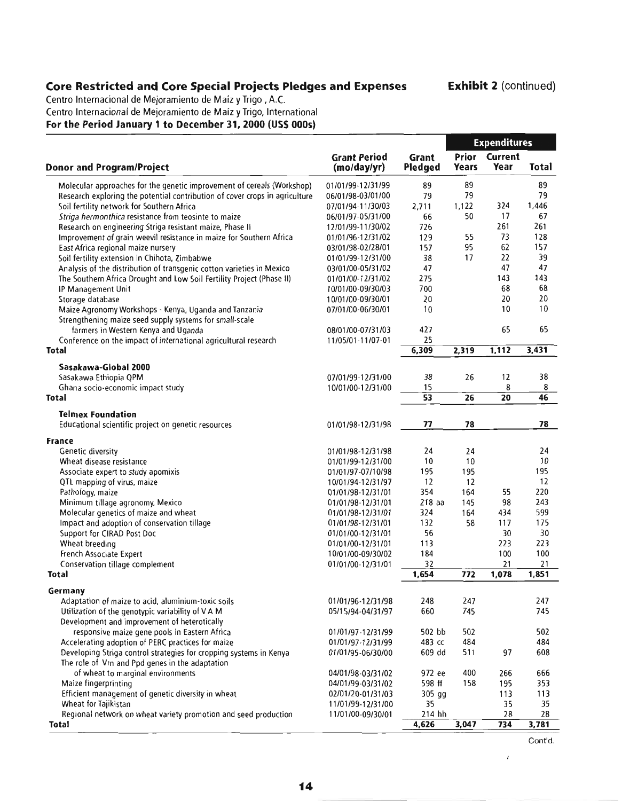Centro Internacional de Mejoramiento de Maiz y Trigo, A.C. Centro Internacional de Mejoramiento de Maiz y Trigo, International For the Period January 1 to December 31. 2000 (US\$ 0005)

|                                                                             |                                    |                  |                | <b>Expenditures</b>    |              |
|-----------------------------------------------------------------------------|------------------------------------|------------------|----------------|------------------------|--------------|
| <b>Donor and Program/Project</b>                                            | <b>Grant Period</b><br>(mo/day/yr) | Grant<br>Pledged | Prior<br>Years | <b>Current</b><br>Year | <b>Total</b> |
| Molecular approaches for the genetic improvement of cereals (Workshop)      | 01/01/99-12/31/99                  | 89               | 89             |                        | 89           |
| Research exploring the potential contribution of cover crops in agriculture | 06/01/98-03/01/00                  | 79               | 79             |                        | 79           |
| Soil fertility network for Southern Africa                                  | 07/01/94-11/30/03                  | 2,711            | 1,122          | 324                    | 1,446        |
| Striga hermonthica resistance from teosinte to maize                        | 06/01/97-05/31/00                  | 66               | 50             | 17                     | 67           |
| Research on engineering Striga resistant maize, Phase II                    | 12/01/99-11/30/02                  | 726              |                | 261                    | 261          |
| Improvement of grain weevil resistance in maize for Southern Africa         | 01/01/96-12/31/02                  | 129              | 55             | 73                     | 128          |
| East Africa regional maize nursery                                          | 03/01/98-02/28/01                  | 157              | 95             | 62                     | 157          |
| Soil fertility extension in Chihota, Zimbabwe                               | 01/01/99-12/31/00                  | 38               | 17             | 22                     | 39           |
| Analysis of the distribution of transgenic cotton varieties in Mexico       | 03/01/00-05/31/02                  | 47               |                | 47                     | 47           |
| The Southern Africa Drought and Low Soil Fertility Project (Phase II)       | 01/01/00-12/31/02                  | 275              |                | 143                    | 143          |
| IP Management Unit                                                          | 10/01/00-09/30/03                  | 700              |                | 68                     | 68           |
| Storage database                                                            | 10/01/00-09/30/01                  | 20               |                | 20                     | 20           |
| Maize Agronomy Workshops - Kenya, Uganda and Tanzania                       | 07/01/00-06/30/01                  | 10               |                | 10                     | 10           |
| Strengthening maize seed supply systems for small-scale                     |                                    |                  |                |                        |              |
| farmers in Western Kenya and Uganda                                         | 08/01/00-07/31/03                  | 427              |                | 65                     | 65           |
| Conference on the impact of international agricultural research             | 11/05/01-11/07-01                  | 25               |                |                        |              |
| <b>Total</b>                                                                |                                    | 6,309            | 2,319          | 1,112                  | 3,431        |
|                                                                             |                                    |                  |                |                        |              |
| Sasakawa-Global 2000                                                        |                                    |                  |                |                        |              |
| Sasakawa Ethiopia QPM                                                       | 07/01/99-12/31/00                  | 38               | 26             | 12                     | 38           |
| Ghana socio-economic impact study                                           | 10/01/00-12/31/00                  | 15               |                | 8                      | 8            |
| <b>Total</b>                                                                |                                    | 53               | 26             | 20                     | 46           |
| <b>Telmex Foundation</b>                                                    |                                    |                  |                |                        |              |
| Educational scientific project on genetic resources                         | 01/01/98-12/31/98                  | 77               | 78             |                        | 78           |
|                                                                             |                                    |                  |                |                        |              |
| <b>France</b><br>Genetic diversity                                          | 01/01/98-12/31/98                  | 24               | 24             |                        | 24           |
|                                                                             | 01/01/99-12/31/00                  | 10               | 10             |                        | 10           |
| Wheat disease resistance                                                    |                                    | 195              | 195            |                        | 195          |
| Associate expert to study apomixis                                          | 01/01/97-07/10/98                  |                  |                |                        | 12           |
| QTL mapping of virus, maize                                                 | 10/01/94-12/31/97                  | 12               | 12             |                        | 220          |
| Pathology, maize                                                            | 01/01/98-12/31/01                  | 354              | 164            | 55                     |              |
| Minimum tillage agronomy, Mexico                                            | 01/01/98-12/31/01                  | 218 aa           | 145            | 98                     | 243          |
| Molecular genetics of maize and wheat                                       | 01/01/98-12/31/01                  | 324              | 164            | 434                    | 599          |
| Impact and adoption of conservation tillage                                 | 01/01/98-12/31/01                  | 132              | 58             | 117                    | 175          |
| Support for CIRAD Post Doc                                                  | 01/01/00-12/31/01                  | 56               |                | 30                     | 30           |
| Wheat breeding                                                              | 01/01/00-12/31/01                  | 113              |                | 223                    | 223          |
| French Associate Expert                                                     | 10/01/00-09/30/02                  | 184              |                | 100                    | 100          |
| Conservation tillage complement                                             | 01/01/00-12/31/01                  | 32               |                | 21                     | 21           |
| Total                                                                       |                                    | 1,654            | 772            | 1,078                  | 1,851        |
| Germany                                                                     |                                    |                  |                |                        |              |
| Adaptation of maize to acid, aluminium-toxic soils                          | 01/01/96-12/31/98                  | 248              | 247            |                        | 247          |
| Utilization of the genotypic variability of VAM                             | 05/15/94-04/31/97                  | 660              | 745            |                        | 745          |
| Development and improvement of heterotically                                |                                    |                  |                |                        |              |
| responsive maize gene pools in Eastern Africa                               | 01/01/97-12/31/99                  | 502 bb           | 502            |                        | 502          |
| Accelerating adoption of PERC practices for maize                           | 01/01/97-12/31/99                  | 483 cc           | 484            |                        | 484          |
| Developing Striga control strategies for cropping systems in Kenya          | 01/01/95-06/30/00                  | 609 dd           | 511            | 97                     | 608          |
| The role of Vrn and Ppd genes in the adaptation                             |                                    |                  |                |                        |              |
| of wheat to marginal environments                                           | 04/01/98-03/31/02                  | 972 ee           | 400            | 266                    | 666          |
| Maize fingerprinting                                                        | 04/01/99-03/31/02                  | 598 ff           | 158            | 195                    | 353          |
| Efficient management of genetic diversity in wheat                          | 02/01/20-01/31/03                  |                  |                | 113                    | 113          |
|                                                                             | 11/01/99-12/31/00                  | 305 gg<br>35     |                | 35                     | 35           |
| Wheat for Tajikistan                                                        |                                    |                  |                |                        |              |
|                                                                             |                                    |                  |                |                        |              |
| Regional network on wheat variety promotion and seed production<br>Total    | 11/01/00-09/30/01                  | 214 hh<br>4,626  | 3,047          | 28<br>734              | 28<br>3,781  |

Cont'd.

 $\lambda$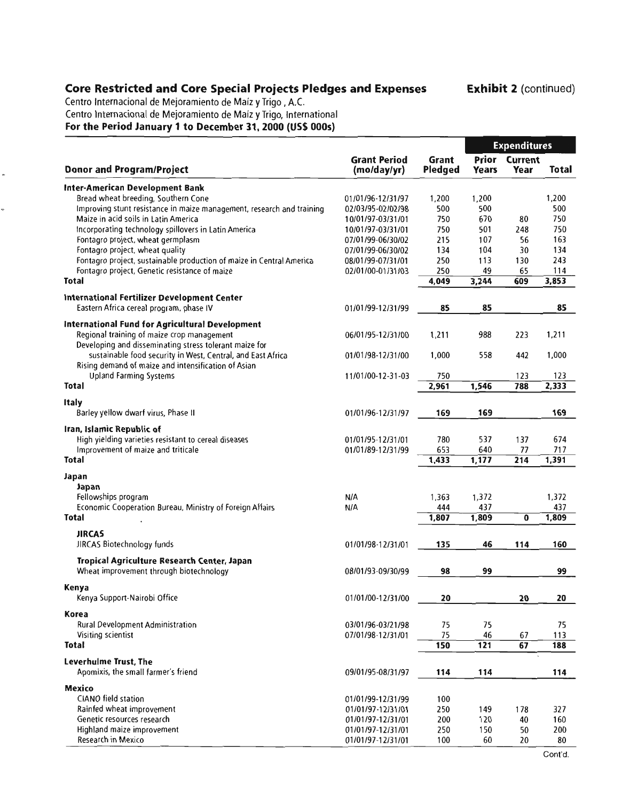Centro Internacional de Mejoramiento de Maíz y Trigo, A.C. Centro Internacional de Mejoramiento de Maíz y Trigo, International **For the Period January 1 to December 31, 2000 (US\$ OOOs)** 

**Donor and Program/Project Grant Period (mo/day/yr) Grant Pledged**  Expenditures<br>Prior Current **Prior Current Total Inter-American Development Bank**  Bread wheat breeding, Southern Cone Improving stunt resistance in maize management, research and training Maize in acid soils in Latin America Incorporating technology spillovers in Latin America Fontagro project. wheat germplasm Fontagro project, wheat quality Fontagro project, sustainable production of maize in Central America Fontagro project, Genetic resistance of maize **Total**  01101/96·12/31/97 02/03/95-02/02/9B 10101/97·03/31/01 10101/97·03/31101 07/01/99·06/30102 07/01/99·06/30102 OB/01/99·07/31101 02/01/00·01/31/03 1,200 500 750 750 215 134 250 250 **4,049**  1,200 500 670 501 107 104 113 49 **3,244**  80 248 56 30 130 65 **609**  1,200 500 750 750 163 134 243 114 **3,853 International Fertilizer Development Center**  Eastern Africa cereal program, phase IV 01/01/99·12/31/99 **85 85 85 International Fund for Agricultural Development**  Regional training of maize crop management Developing and disseminating stress tolerant maize for sustainable food security in West, Central, and East Africa Rising demand of maize and intensification of Asian Upland Farming Systems **Total**  06/01/95-12/31/00 01/01/98·12/31/00 11/01/00·12·31·03 1,211 1,000 750 **2,961**  988 558 **1,546**  223 442 123 **788**  1.211 1,000 123 **2,333 Italy**  Barley yellow dwarf virus, Phase II 01/01/96·12/31/97 **169 169 169 Iran, Islamic Republic of**  High yielding varieties resistant to cereal diseases Improvement of maize and triticale **Total**  01/01/95-12/31/01 01/01/89·12/31/99 780 653 **1,433**  537 640 **1,177**  137 77 **214**  674 717 **1,391 Japan Japan**  Fellowships program Economic Cooperation Bureau, Ministry of Foreign Affairs **Total**  NIA NIA 1.363 444 **1,807**  1.372 437 **1,809** 0 1.372 437 **1,809 JIRCAS**  JIRCAS Biotechnology funds 01101/9B·12/31/01 **135 46 114 160 Tropical Agriculture Research Center, Japan**  Wheat improvement through biotechnology 08/01/93·09/30/99 **98 99 99 Kenya**  Kenya Support-Nairobi Office 01/01/00-12/31/00 **20 20 20 Korea**  Rural Development Administration Visiting scientist **Total**  03/01/96-03/21/98 07/01/9B-12/31/01 75 75 **150**  75 46 **121**  67 **67**  75 113 **188 Leverhulme Trust, The**  Apomixis, the small farmer's friend 09/01/95-08/31/97 **114 114 114 Mexico**  CIANO field station Rainfed wheat improvement Genetic resources research Highland maize improvement Research in Mexico 01/01/99-12/31/99 01/01/97 -12/31/01 01/01/97-12/31/01 01101197 -12/31/01 01101197-12/31/01 100 250 200 250 100 149 120 150 60 178 40 50 20 327 160 200 80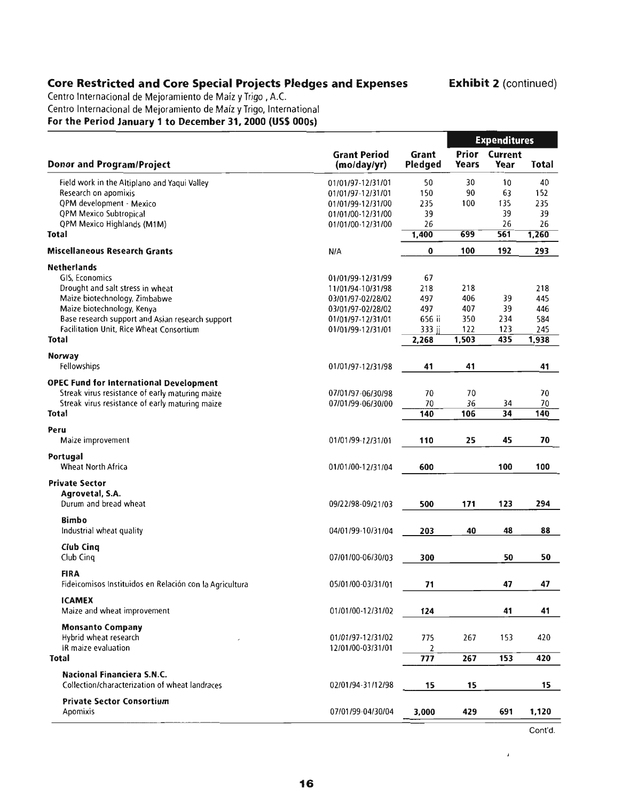Centro Internacional de Mejoramiento de Maiz y Trigo, A.C. Centro Internacional de Mejoramiento de Maiz y Trigo, International **For the Period January 1 to December 31, 2000 (US\$ 0005)** 

|                                                                   |                                    |                         |                | <b>Expenditures</b>    |              |
|-------------------------------------------------------------------|------------------------------------|-------------------------|----------------|------------------------|--------------|
| <b>Donor and Program/Project</b>                                  | <b>Grant Period</b><br>(mo/day/yr) | Grant<br><b>Pledged</b> | Prior<br>Years | <b>Current</b><br>Year | <b>Total</b> |
| Field work in the Altiplano and Yaqui Valley                      | 01/01/97-12/31/01                  | 50                      | 30             | 10                     | 40           |
| Research on apomixis                                              | 01/01/97-12/31/01                  | 150                     | 90             | 63                     | 152          |
| QPM development - Mexico                                          | 01/01/99-12/31/00                  | 235                     | 100            | 135                    | 235          |
| QPM Mexico Subtropical                                            | 01/01/00-12/31/00                  | 39                      |                | 39                     | 39           |
| QPM Mexico Highlands (M1M)                                        | 01/01/00-12/31/00                  | 26                      |                | 26                     | 26           |
| <b>Total</b>                                                      |                                    | 1,400                   | 699            | 561                    | 1,260        |
| <b>Miscellaneous Research Grants</b>                              | N/A                                | 0                       | 100            | 192                    | 293          |
| <b>Netherlands</b>                                                |                                    |                         |                |                        |              |
| GIS. Economics                                                    | 01/01/99-12/31/99                  | 67                      |                |                        |              |
| Drought and salt stress in wheat                                  | 11/01/94-10/31/98                  | 218                     | 218            |                        | 218          |
| Maize biotechnology, Zimbabwe                                     | 03/01/97-02/28/02                  | 497                     | 406            | 39                     | 445          |
| Maize biotechnology, Kenya                                        | 03/01/97-02/28/02                  | 497                     | 407            | 39                     | 446          |
| Base research support and Asian research support                  | 01/01/97-12/31/01                  | 656 ii                  | 350            | 234                    | 584          |
| <b>Facilitation Unit, Rice Wheat Consortium</b>                   | 01/01/99-12/31/01                  | 333 jj                  | 122            | 123                    | 245          |
| <b>Total</b>                                                      |                                    | 2,268                   | 1,503          | 435                    | 1,938        |
| <b>Norway</b><br>Fellowships                                      | 01/01/97-12/31/98                  | 41                      | 41             |                        | 41           |
|                                                                   |                                    |                         |                |                        |              |
| <b>OPEC Fund for International Development</b>                    |                                    |                         |                |                        |              |
| Streak virus resistance of early maturing maize                   | 07/01/97-06/30/98                  | 70                      | 70             |                        | 70           |
| Streak virus resistance of early maturing maize                   | 07/01/99-06/30/00                  | 70                      | 36             | 34                     | 70           |
| <b>Total</b>                                                      |                                    | 140                     | 106            | 34                     | 140          |
| Peru<br>Maize improvement                                         | 01/01/99-12/31/01                  | 110                     | 25             | 45                     | 70           |
| Portugal<br><b>Wheat North Africa</b>                             | 01/01/00-12/31/04                  | 600                     |                | 100                    | 100          |
| <b>Private Sector</b><br>Agrovetal, S.A.<br>Durum and bread wheat | 09/22/98-09/21/03                  | 500                     |                | 123                    | 294          |
|                                                                   |                                    |                         | 171            |                        |              |
| <b>Bimbo</b><br>Industrial wheat quality                          | 04/01/99-10/31/04                  | 203                     | 40             | 48                     | 88           |
| <b>Club Cing</b>                                                  |                                    |                         |                |                        |              |
| Club Cinq                                                         | 07/01/00-06/30/03                  | 300                     |                | 50                     | 50           |
| <b>FIRA</b>                                                       |                                    |                         |                |                        |              |
| Fideicomisos Instituidos en Relación con la Agricultura           | 05/01/00-03/31/01                  | 71                      |                | 47                     | 47           |
| <b>ICAMEX</b>                                                     |                                    |                         |                |                        |              |
| Maize and wheat improvement                                       | 01/01/00-12/31/02                  | 124                     |                | 41                     | 41           |
| <b>Monsanto Company</b>                                           |                                    |                         |                |                        |              |
| Hybrid wheat research<br>IR maize evaluation                      | 01/01/97-12/31/02                  | 775                     | 267            | 153                    | 420          |
| <b>Total</b>                                                      | 12/01/00-03/31/01                  | 2<br>777                | 267            | 153                    | 420          |
| Nacional Financiera S.N.C.                                        |                                    |                         |                |                        |              |
| Collection/characterization of wheat landraces                    | 02/01/94-31/12/98                  | 15                      | 15             |                        | 15           |
| <b>Private Sector Consortium</b><br>Apomixis                      | 07/01/99-04/30/04                  | 3,000                   | 429            | 691                    | 1,120        |
|                                                                   |                                    |                         |                |                        |              |

 $\epsilon$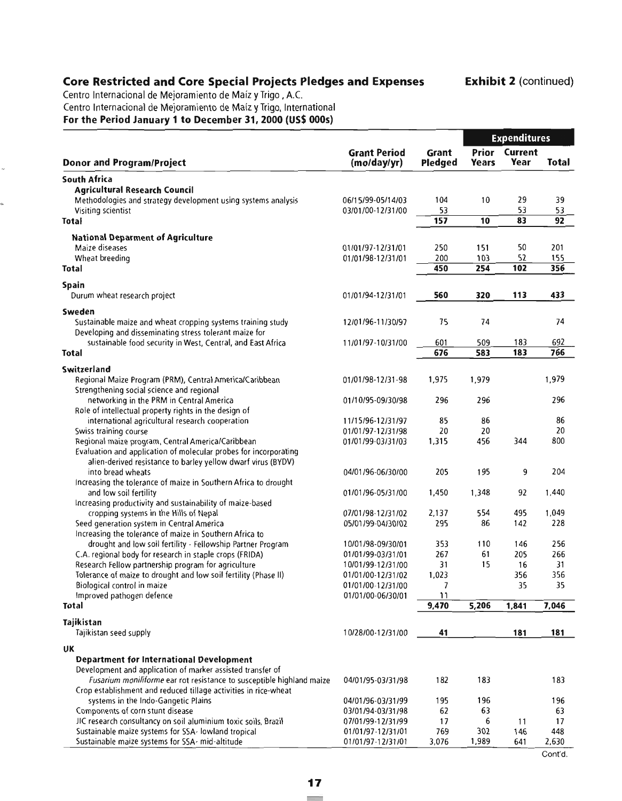Centro Internacional de Mejoramiento de Maiz yTrigo, A.C. Centro Internacional de Mejoramiento de Maíz y Trigo, International **For the Period January 1 to December 31, 2000 (US\$ 0005)** 

|                                                                                   |                                         |                  |                | <b>Expenditures</b>    |              |
|-----------------------------------------------------------------------------------|-----------------------------------------|------------------|----------------|------------------------|--------------|
| <b>Donor and Program/Project</b>                                                  | <b>Grant Period</b><br>$(mod\,$ /yr $)$ | Grant<br>Pledged | Prior<br>Years | <b>Current</b><br>Year | <b>Total</b> |
| South Africa                                                                      |                                         |                  |                |                        |              |
| <b>Agricultural Research Council</b>                                              |                                         |                  |                |                        |              |
| Methodologies and strategy development using systems analysis                     | 06/15/99-05/14/03                       | 104              | 10             | 29                     | 39           |
| Visiting scientist                                                                | 03/01/00-12/31/00                       | 53               |                | 53                     | 53           |
| <b>Total</b>                                                                      |                                         | 157              | 10             | 83                     | 92           |
| <b>National Deparment of Agriculture</b>                                          |                                         |                  |                |                        |              |
| Maize diseases                                                                    | 01/01/97-12/31/01                       | 250              | 151            | 50                     | 201          |
| Wheat breeding                                                                    | 01/01/98-12/31/01                       | 200              | 103            | 52                     | 155          |
| <b>Total</b>                                                                      |                                         | 450              | 254            | 102                    | 356          |
| <b>Spain</b>                                                                      |                                         |                  |                |                        |              |
| Durum wheat research project                                                      | 01/01/94-12/31/01                       | 560              | 320            | 113                    | 433          |
|                                                                                   |                                         |                  |                |                        |              |
| Sweden                                                                            |                                         |                  |                |                        |              |
| Sustainable maize and wheat cropping systems training study                       | 12/01/96-11/30/97                       | 75               | 74             |                        | 74           |
| Developing and disseminating stress tolerant maize for                            |                                         |                  |                |                        |              |
| sustainable food security in West, Central, and East Africa                       | 11/01/97-10/31/00                       | 601              | 509            | 183                    | 692          |
| <b>Total</b>                                                                      |                                         | 676              | 583            | 183                    | 766          |
| Switzerland                                                                       |                                         |                  |                |                        |              |
| Regional Maize Program (PRM), Central America/Caribbean                           | 01/01/98-12/31-98                       | 1,975            | 1,979          |                        | 1,979        |
| Strengthening social science and regional                                         |                                         |                  |                |                        |              |
| networking in the PRM in Central America                                          | 01/10/95-09/30/98                       | 296              | 296            |                        | 296          |
| Role of intellectual property rights in the design of                             |                                         |                  |                |                        |              |
| international agricultural research cooperation                                   | 11/15/96-12/31/97                       | 85               | 86             |                        | 86           |
| Swiss training course                                                             | 01/01/97-12/31/98                       | 20               | 20             |                        | 20           |
| Regional maize program, Central America/Caribbean                                 | 01/01/99-03/31/03                       | 1,315            | 456            | 344                    | 800          |
| Evaluation and application of molecular probes for incorporating                  |                                         |                  |                |                        |              |
| alien-derived resistance to barley yellow dwarf virus (BYDV)<br>into bread wheats | 04/01/96-06/30/00                       | 205              | 195            | 9                      | 204          |
| Increasing the tolerance of maize in Southern Africa to drought                   |                                         |                  |                |                        |              |
| and low soil fertility                                                            | 01/01/96-05/31/00                       | 1,450            | 1,348          | 92                     | 1,440        |
| Increasing productivity and sustainability of maize-based                         |                                         |                  |                |                        |              |
| cropping systems in the Hills of Nepal                                            | 07/01/98-12/31/02                       | 2,137            | 554            | 495                    | 1,049        |
| Seed generation system in Central America                                         | 05/01/99-04/30/02                       | 295              | 86             | 142                    | 228          |
| Increasing the tolerance of maize in Southern Africa to                           |                                         |                  |                |                        |              |
| drought and low soil fertility - Fellowship Partner Program                       | 10/01/98-09/30/01                       | 353              | 110            | 146                    | 256          |
| C.A. regional body for research in staple crops (FRIDA)                           | 01/01/99-03/31/01                       | 267              | 61             | 205                    | 266          |
| Research Fellow partnership program for agriculture                               | 10/01/99-12/31/00                       | 31               | 15             | 16                     | 31           |
| Tolerance of maize to drought and low soil fertility (Phase II)                   | 01/01/00-12/31/02                       | 1,023            |                | 356                    | 356          |
| Biological control in maize                                                       | 01/01/00-12/31/00                       | 7                |                | 35                     | 35           |
| Improved pathogen defence                                                         | 01/01/00-06/30/01                       | 11               |                |                        |              |
| Total                                                                             |                                         | 9,470            | 5,206          | 1,841                  | 7,046        |
| Tajikistan                                                                        |                                         |                  |                |                        |              |
| Tajikistan seed supply                                                            | 10/28/00-12/31/00                       | 41               |                | 181                    | <u>181</u>   |
| <b>UK</b>                                                                         |                                         |                  |                |                        |              |
| <b>Department for International Development</b>                                   |                                         |                  |                |                        |              |
| Development and application of marker assisted transfer of                        |                                         |                  |                |                        |              |
| Fusarium moniliforme ear rot resistance to susceptible highland maize             | 04/01/95-03/31/98                       | 182              | 183            |                        | 183          |
| Crop establishment and reduced tillage activities in rice-wheat                   |                                         |                  |                |                        |              |
| systems in the Indo-Gangetic Plains                                               | 04/01/96-03/31/99                       | 195              | 196            |                        | 196          |
| Components of corn stunt disease                                                  | 03/01/94-03/31/98                       | 62               | 63             |                        | 63           |
| JIC research consultancy on soil aluminium toxic soils, Brazil                    | 07/01/99-12/31/99                       | 17               | 6              | 11                     | 17           |
| Sustainable maize systems for SSA- lowland tropical                               | 01/01/97-12/31/01                       | 769              | 302            | 146                    | 448          |
| Sustainable maize systems for SSA- mid-altitude                                   | 01/01/97-12/31/01                       | 3,076            | 1,989          | 641                    | 2,630        |

Cont'd.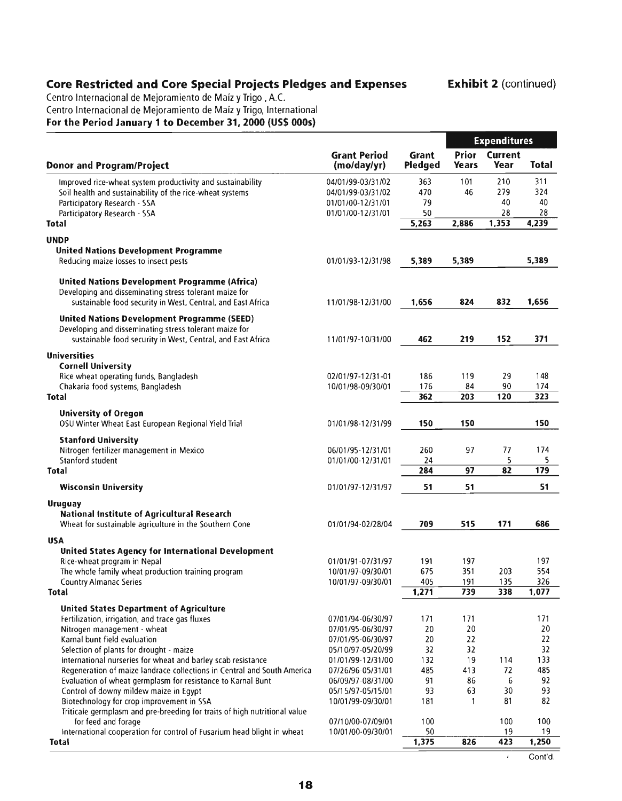Centro Internacional de Mejoramiento de Maiz yTrigo, A.C. Centro Internacional de Mejoramiento de Maíz y Trigo, International **For the Period January 1 to December 31, 2000 (US\$ 0005)** 

|                                                                                                                                                                               |                                    |                  |                | <b>Expenditures</b>    |              |
|-------------------------------------------------------------------------------------------------------------------------------------------------------------------------------|------------------------------------|------------------|----------------|------------------------|--------------|
| <b>Donor and Program/Project</b>                                                                                                                                              | <b>Grant Period</b><br>(mo/day/yr) | Grant<br>Pledged | Prior<br>Years | <b>Current</b><br>Year | <b>Total</b> |
| Improved rice-wheat system productivity and sustainability                                                                                                                    | 04/01/99-03/31/02                  | 363              | 101            | 210                    | 311          |
| Soil health and sustainability of the rice-wheat systems                                                                                                                      | 04/01/99-03/31/02                  | 470              | 46             | 279                    | 324          |
| Participatory Research - SSA                                                                                                                                                  | 01/01/00-12/31/01                  | 79               |                | 40                     | 40           |
| Participatory Research - SSA                                                                                                                                                  | 01/01/00-12/31/01                  | 50               |                | 28                     | 28           |
| <b>Total</b>                                                                                                                                                                  |                                    | 5,263            | 2,886          | 1,353                  | 4,239        |
| <b>UNDP</b>                                                                                                                                                                   |                                    |                  |                |                        |              |
| <b>United Nations Development Programme</b>                                                                                                                                   |                                    |                  |                |                        |              |
| Reducing maize losses to insect pests                                                                                                                                         | 01/01/93-12/31/98                  | 5,389            | 5,389          |                        | 5,389        |
| <b>United Nations Development Programme (Africa)</b><br>Developing and disseminating stress tolerant maize for<br>sustainable food security in West, Central, and East Africa | 11/01/98-12/31/00                  | 1,656            | 824            | 832                    | 1,656        |
|                                                                                                                                                                               |                                    |                  |                |                        |              |
| <b>United Nations Development Programme (SEED)</b><br>Developing and disseminating stress tolerant maize for<br>sustainable food security in West, Central, and East Africa   | 11/01/97-10/31/00                  | 462              | 219            | 152                    | 371          |
|                                                                                                                                                                               |                                    |                  |                |                        |              |
| <b>Universities</b><br><b>Cornell University</b>                                                                                                                              |                                    |                  |                |                        |              |
| Rice wheat operating funds, Bangladesh                                                                                                                                        | 02/01/97-12/31-01                  | 186              | 119            | 29                     | 148          |
| Chakaria food systems, Bangladesh                                                                                                                                             | 10/01/98-09/30/01                  | 176              | 84             | 90                     | 174          |
| <b>Total</b>                                                                                                                                                                  |                                    | 362              | 203            | 120                    | 323          |
|                                                                                                                                                                               |                                    |                  |                |                        |              |
| <b>University of Oregon</b><br>OSU Winter Wheat East European Regional Yield Trial                                                                                            | 01/01/98-12/31/99                  | 150              | 150            |                        | 150          |
| <b>Stanford University</b>                                                                                                                                                    |                                    |                  |                |                        |              |
| Nitrogen fertilizer management in Mexico                                                                                                                                      | 06/01/95-12/31/01                  | 260              | 97             | 77                     | 174          |
| Stanford student                                                                                                                                                              | 01/01/00-12/31/01                  | 24               |                | 5                      | 5            |
| <b>Total</b>                                                                                                                                                                  |                                    | 284              | 97             | 82                     | 179          |
| <b>Wisconsin University</b>                                                                                                                                                   | 01/01/97-12/31/97                  | 51               | 51             |                        | 51           |
| Uruguay                                                                                                                                                                       |                                    |                  |                |                        |              |
| <b>National Institute of Agricultural Research</b>                                                                                                                            |                                    |                  |                |                        |              |
| Wheat for sustainable agriculture in the Southern Cone                                                                                                                        | 01/01/94-02/28/04                  | 709              | 515            | 171                    | 686          |
| <b>USA</b>                                                                                                                                                                    |                                    |                  |                |                        |              |
| <b>United States Agency for International Development</b>                                                                                                                     |                                    |                  |                |                        |              |
| Rice-wheat program in Nepal                                                                                                                                                   | 01/01/91-07/31/97                  | 191              | 197            |                        | 197          |
| The whole family wheat production training program                                                                                                                            | 10/01/97-09/30/01                  | 675              | 351            | 203                    | 554          |
| <b>Country Almanac Series</b>                                                                                                                                                 | 10/01/97-09/30/01                  | 405              | 191            | 135                    | 326          |
| Total                                                                                                                                                                         |                                    | 1,271            | 739            | 338                    | 1,077        |
| <b>United States Department of Agriculture</b>                                                                                                                                |                                    |                  |                |                        |              |
| Fertilization, irrigation, and trace gas fluxes                                                                                                                               | 07/01/94-06/30/97                  | 171              | 171            |                        | 171          |
| Nitrogen management - wheat                                                                                                                                                   | 07/01/95-06/30/97                  | 20               | 20             |                        | 20           |
| Karnal bunt field evaluation                                                                                                                                                  | 07/01/95-06/30/97                  | 20               | 22             |                        | 22           |
| Selection of plants for drought - maize                                                                                                                                       | 05/10/97-05/20/99                  | 32               | 32             |                        | 32           |
| International nurseries for wheat and barley scab resistance                                                                                                                  | 01/01/99-12/31/00                  | 132              | 19             | 114                    | 133          |
| Regeneration of maize landrace collections in Central and South America                                                                                                       | 07/26/96-05/31/01                  | 485              | 413            | 72                     | 485          |
| Evaluation of wheat germplasm for resistance to Karnal Bunt                                                                                                                   | 06/09/97-08/31/00                  | 91               | 86             | 6                      | 92           |
| Control of downy mildew maize in Egypt                                                                                                                                        | 05/15/97-05/15/01                  | 93               | 63             | 30                     | 93           |
| Biotechnology for crop improvement in SSA                                                                                                                                     | 10/01/99-09/30/01                  | 181              | 1              | 81                     | 82           |
| Triticale germplasm and pre-breeding for traits of high nutritional value                                                                                                     |                                    |                  |                |                        |              |
| for feed and forage                                                                                                                                                           | 07/10/00-07/09/01                  | 100              |                | 100                    | 100          |
| International cooperation for control of Fusarium head blight in wheat                                                                                                        | 10/01/00-09/30/01                  | 50               |                | 19                     | 19           |
| <b>Total</b>                                                                                                                                                                  |                                    | 1,375            | 826            | 423                    | 1,250        |

Cont'd.

 $\overline{1}$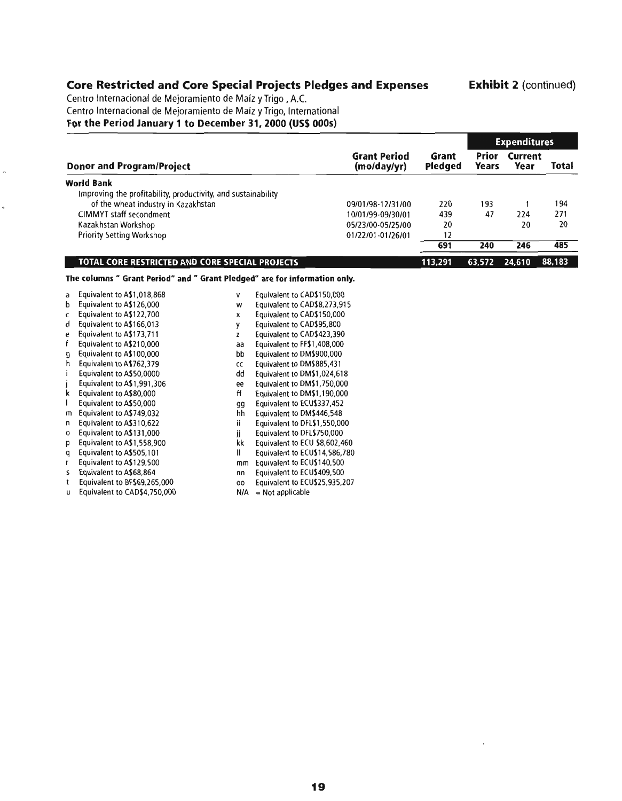Centro Internacional de Mejoramiento de Maiz y Trigo, A.C. Centro Internacional de Mejoramiento de Maiz y Trigo, International For the Period January 1 to December 31, 2000 (US\$ 0005)

|                                                               |                                         |                  | <b>Expenditures</b>          |                        |        |  |
|---------------------------------------------------------------|-----------------------------------------|------------------|------------------------------|------------------------|--------|--|
| <b>Donor and Program/Project</b>                              | <b>Grant Period</b><br>$(mod\,$ /yr $)$ | Grant<br>Pledged | <b>Prior</b><br><b>Years</b> | <b>Current</b><br>Year | Total  |  |
| <b>World Bank</b>                                             |                                         |                  |                              |                        |        |  |
| Improving the profitability, productivity, and sustainability |                                         |                  |                              |                        |        |  |
| of the wheat industry in Kazakhstan                           | 09/01/98-12/31/00                       | 220              | 193                          |                        | 194    |  |
| CIMMYT staff secondment                                       | 10/01/99-09/30/01                       | 439              | 47                           | 224                    | 271    |  |
| Kazakhstan Workshop                                           | 05/23/00-05/25/00                       | 20               |                              | 20                     | 20     |  |
| <b>Priority Setting Workshop</b>                              | 01/22/01-01/26/01                       | 12               |                              |                        |        |  |
|                                                               |                                         | 691              | 240                          | 246                    | 485    |  |
| TOTAL CORE RESTRICTED AND CORE SPECIAL PROJECTS               |                                         | 113,291          | 63,572                       | 24,610                 | 88,183 |  |

The columns " Grant Period" and " Grant Pledged" are for information only.

| a | <b>Equivalent to A\$1,018,868</b> | V   | Equivalent to CAD\$150,000    |
|---|-----------------------------------|-----|-------------------------------|
| b | Equivalent to A\$126,000          | w   | Equivalent to CAD\$8,273,915  |
| c | Equivalent to A\$122,700          | x   | Equivalent to CAD\$150,000    |
| d | Equivalent to A\$166,013          | y   | Equivalent to CAD\$95,800     |
| e | Equivalent to A\$173,711          | Z   | Equivalent to CAD\$423,390    |
| f | Equivalent to A\$210,000          | аа  | Equivalent to FF\$1,408,000   |
| g | Equivalent to A\$100,000          | bb  | Equivalent to DM\$900,000     |
| h | Equivalent to A\$762,379          | cc  | Equivalent to DM\$885,431     |
|   | Equivalent to A\$50,0000          | dd  | Equivalent to DM\$1,024,618   |
|   | Equivalent to A\$1,991,306        | ee  | Equivalent to DM\$1,750,000   |
| k | Equivalent to A\$80,000           | ff  | Equivalent to DM\$1,190,000   |
|   | Equivalent to A\$50,000           | gg  | Equivalent to ECU\$337,452    |
| m | Equivalent to A\$749,032          | hh  | Equivalent to DM\$446,548     |
| n | Equivalent to A\$310,622          | ii  | Equivalent to DFL\$1,550,000  |
| 0 | Equivalent to A\$131,000          | jj  | Equivalent to DFL\$750,000    |
| р | <b>Equivalent to A\$1,558,900</b> | kk  | Equivalent to ECU \$8,602,460 |
| a | Equivalent to A\$505,101          | Ш   | Equivalent to ECU\$14,586,780 |
| r | Equivalent to A\$129,500          | mm  | Equivalent to ECU\$140,500    |
| s | Equivalent to A\$68,864           | nn  | Equivalent to ECU\$409,500    |
| t | Equivalent to BF\$69,265,000      | 00  | Equivalent to ECU\$25,935,207 |
| u | Equivalent to CAD\$4,750,000      | N/A | = Not applicable              |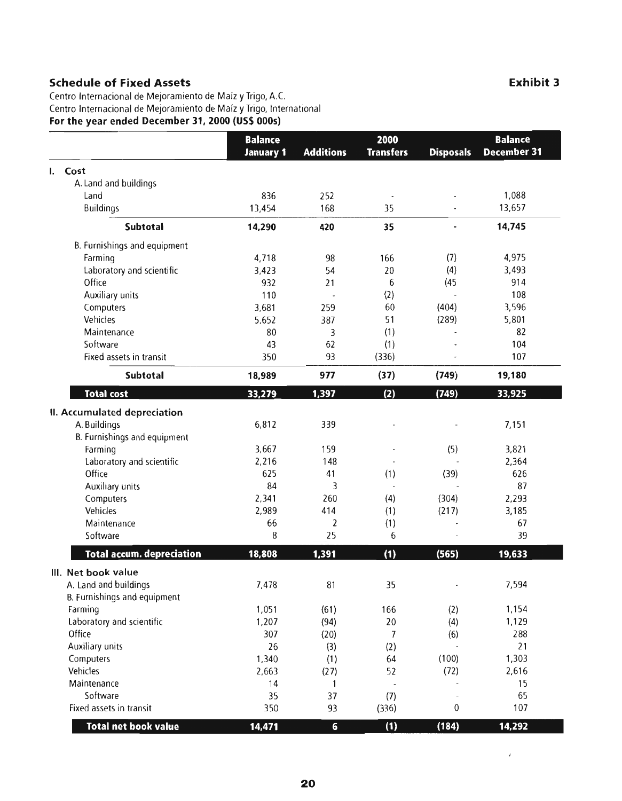# **Schedule of Fixed Assets Exhibit 3**

Centro Internacional de Mejoramiento de Maiz y Trigo, A.C. Centro Internacional de Mejoramiento de Maíz y Trigo, International For the year ended December 31, 2000 (US\$ 000s)

|                                     | <b>Balance</b><br><b>January 1</b> | <b>Additions</b> | 2000<br><b>Transfers</b> | <b>Disposals</b>         | <b>Balance</b><br><b>December 31</b> |
|-------------------------------------|------------------------------------|------------------|--------------------------|--------------------------|--------------------------------------|
| I. Cost                             |                                    |                  |                          |                          |                                      |
| A. Land and buildings               |                                    |                  |                          |                          |                                      |
| Land                                | 836                                | 252              |                          |                          | 1,088                                |
| <b>Buildings</b>                    | 13,454                             | 168              | 35                       |                          | 13,657                               |
| Subtotal                            | 14,290                             | 420              | 35                       | $\overline{\phantom{a}}$ | 14,745                               |
| B. Furnishings and equipment        |                                    |                  |                          |                          |                                      |
| Farming                             | 4,718                              | 98               | 166                      | (7)                      | 4,975                                |
| Laboratory and scientific           | 3,423                              | 54               | 20                       | (4)                      | 3,493                                |
| Office                              | 932                                | 21               | 6                        | (45)                     | 914                                  |
| Auxiliary units                     | 110                                | ÷                | (2)                      | $\sim$                   | 108                                  |
| Computers                           | 3,681                              | 259              | 60                       | (404)                    | 3,596                                |
| Vehicles                            | 5,652                              | 387              | 51                       | (289)                    | 5,801                                |
| Maintenance                         | 80                                 | 3                | (1)                      |                          | 82                                   |
| Software                            | 43                                 | 62               | (1)                      |                          | 104                                  |
| Fixed assets in transit             | 350                                | 93               | (336)                    |                          | 107                                  |
| Subtotal                            | 18,989                             | 977              | (37)                     | (749)                    | 19,180                               |
| <b>Total cost</b>                   | 33,279                             | 1,397            | (2)                      | (749)                    | 33,925                               |
| <b>II. Accumulated depreciation</b> |                                    |                  |                          |                          |                                      |
| A. Buildings                        | 6,812                              | 339              |                          |                          | 7,151                                |
| B. Furnishings and equipment        |                                    |                  |                          |                          |                                      |
| Farming                             | 3,667                              | 159              |                          | (5)                      | 3,821                                |
| Laboratory and scientific           | 2,216                              | 148              |                          |                          | 2,364                                |
| Office                              | 625                                | 41               | (1)                      | (39)                     | 626                                  |
| Auxiliary units                     | 84                                 | 3                |                          |                          | 87                                   |
| Computers                           | 2,341                              | 260              | (4)                      | (304)                    | 2,293                                |
| Vehicles                            | 2,989                              | 414              | (1)                      | (217)                    | 3,185                                |
| Maintenance                         | 66                                 | $\overline{2}$   | (1)                      |                          | 67                                   |
| Software                            | 8                                  | 25               | 6                        |                          | 39                                   |
| <b>Total accum. depreciation</b>    | 18,808                             | 1,391            | (1)                      | (565)                    | 19,633                               |
| III. Net book value                 |                                    |                  |                          |                          |                                      |
| A. Land and buildings               | 7,478                              | 81               | 35                       |                          | 7,594                                |
| B. Furnishings and equipment        |                                    |                  |                          |                          |                                      |
| Farming                             | 1,051                              | (61)             | 166                      | (2)                      | 1,154                                |
| Laboratory and scientific           | 1,207                              | (94)             | 20                       | (4)                      | 1,129                                |
| Office                              | 307                                | (20)             | 7                        | (6)                      | 288                                  |
| <b>Auxiliary units</b>              | 26                                 | (3)              | (2)                      |                          | 21                                   |
| Computers                           | 1,340                              | (1)              | 64                       | (100)                    | 1,303                                |
| Vehicles                            | 2,663                              | (27)             | 52                       | (72)                     | 2,616                                |
| Maintenance                         | 14                                 | $\mathbf{1}$     |                          |                          | 15                                   |
| Software                            | 35                                 | 37               | (7)                      |                          | 65                                   |
| Fixed assets in transit             | 350                                | 93               | (336)                    | 0                        | 107                                  |
| <b>Total net book value</b>         | 14,471                             | $6\phantom{a}$   | (1)                      | (184)                    | 14,292                               |

 $\bar{I}$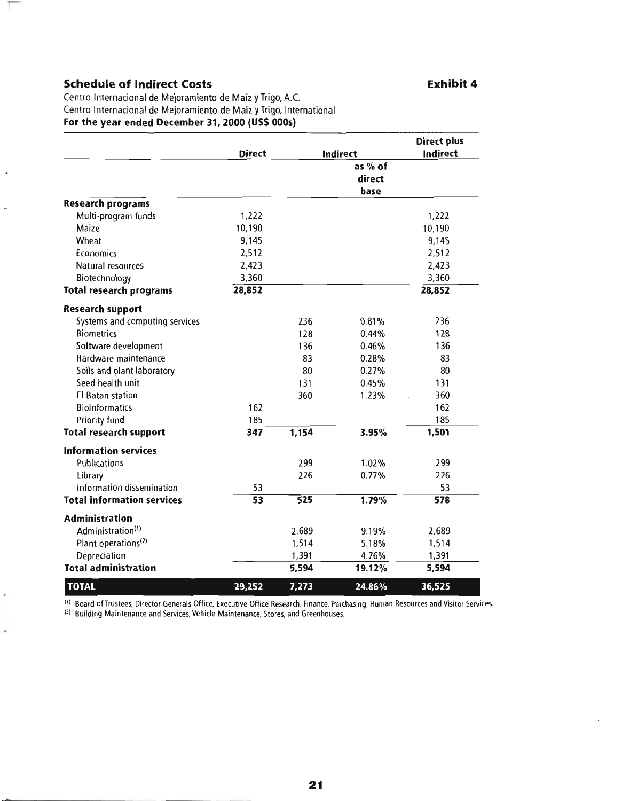### **Schedule of Indirect Costs Exhibit 4**

Centro Internacional de Mejoramiento de Maiz y Trigo, A.C. Centro Internacional de Mejoramiento de Maiz y Trigo, International **For the year ended December 31, 2000 (US\$ 0005)** 

|                                   |                 |                  |                 | <b>Direct plus</b> |
|-----------------------------------|-----------------|------------------|-----------------|--------------------|
|                                   | <b>Direct</b>   |                  | <b>Indirect</b> | <b>Indirect</b>    |
|                                   |                 |                  | as % of         |                    |
|                                   |                 |                  | direct          |                    |
|                                   |                 |                  | base            |                    |
| <b>Research programs</b>          |                 |                  |                 |                    |
| Multi-program funds               | 1,222           |                  |                 | 1,222              |
| Maize                             | 10,190          |                  |                 | 10,190             |
| Wheat                             | 9,145           |                  |                 | 9,145              |
| Economics                         | 2,512           |                  |                 | 2,512              |
| Natural resources                 | 2,423           |                  |                 | 2,423              |
| Biotechnology                     | 3,360           |                  |                 | 3,360              |
| <b>Total research programs</b>    | 28,852          |                  |                 | 28,852             |
| <b>Research support</b>           |                 |                  |                 |                    |
| Systems and computing services    |                 | 236              | 0.81%           | 236                |
| <b>Biometrics</b>                 |                 | 128              | 0.44%           | 128                |
| Software development              |                 | 136              | 0.46%           | 136                |
| Hardware maintenance              |                 | 83               | 0.28%           | 83                 |
| Soils and plant laboratory        |                 | 80               | 0.27%           | 80                 |
| Seed health unit                  |                 | 131              | 0.45%           | 131                |
| El Batan station                  |                 | 360              | 1.23%           | 360                |
| <b>Bioinformatics</b>             | 162             |                  |                 | 162                |
| Priority fund                     | 185             |                  |                 | 185                |
| <b>Total research support</b>     | 347             | 1,154            | 3.95%           | 1,501              |
| <b>Information services</b>       |                 |                  |                 |                    |
| Publications                      |                 | 299              | 1.02%           | 299                |
| Library                           |                 | 226              | 0.77%           | 226                |
| Information dissemination         | 53              |                  |                 | 53                 |
| <b>Total information services</b> | $\overline{53}$ | $\overline{525}$ | 1.79%           | 578                |
| <b>Administration</b>             |                 |                  |                 |                    |
| Administration <sup>(1)</sup>     |                 | 2,689            | 9.19%           | 2,689              |
| Plant operations <sup>(2)</sup>   |                 | 1,514            | 5.18%           | 1,514              |
| Depreciation                      |                 | 1,391            | 4.76%           | 1,391              |
| <b>Total administration</b>       |                 | 5,594            | 19.12%          | 5,594              |
| <b>TOTAL</b>                      | 29,252          | 7,273            | 24.86%          | 36,525             |

<sup>(1)</sup> Board of Trustees, Director Generals Office, Executive Office Research, Finance, Purchasing, Human Resources and Visitor Services.

<sup>(2)</sup> Building Maintenance and Services, Vehicle Maintenance, Stores, and Greenhouses.

e.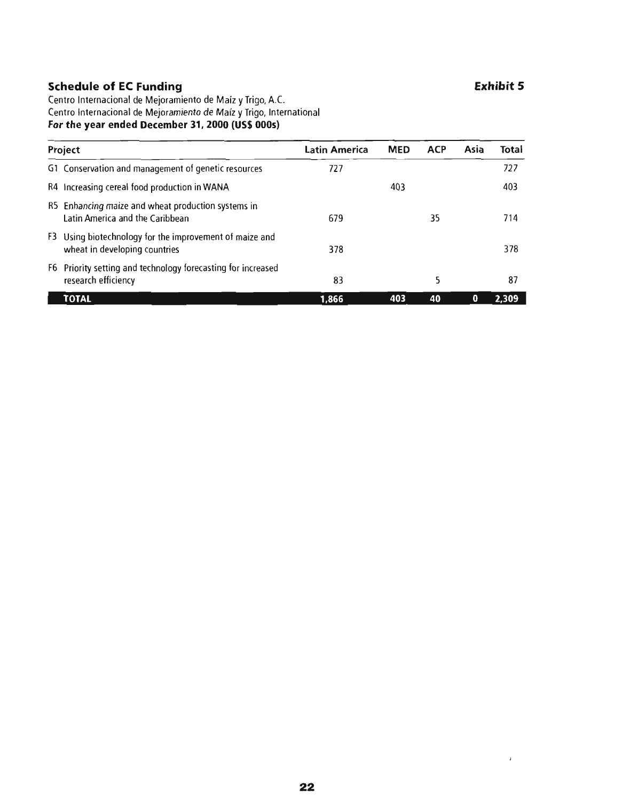# **Schedule of EC Funding**

# **Exhibit 5**

 $\mathcal{E}$ 

Centro Internacional de Mejoramiento de Maiz y Trigo, A.c. Centro Internacional de Mejoramiento de Maiz y Trigo, International **For the year ended December 31,2000 (USS 0005)** 

|     | Project                                                                               | <b>Latin America</b> | <b>MED</b> | <b>ACP</b> | Asia | Total |
|-----|---------------------------------------------------------------------------------------|----------------------|------------|------------|------|-------|
|     | G1 Conservation and management of genetic resources                                   | 727                  |            |            |      | 727   |
|     | R4 Increasing cereal food production in WANA                                          |                      | 403        |            |      | 403   |
|     | R5 Enhancing maize and wheat production systems in<br>Latin America and the Caribbean | 679                  |            | 35         |      | 714   |
| F3. | Using biotechnology for the improvement of maize and<br>wheat in developing countries | 378                  |            |            |      | 378   |
| F6. | Priority setting and technology forecasting for increased<br>research efficiency      | 83                   |            | 5          |      | 87    |
|     | <b>TOTAL</b>                                                                          | 1,866                | 403        | 40         |      | 2,309 |